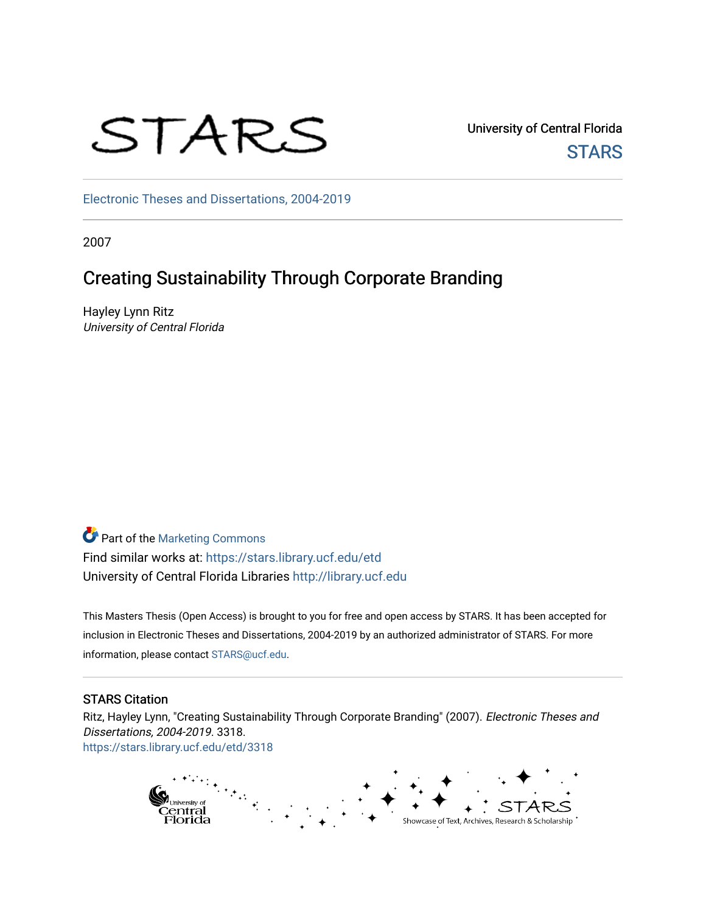# STARS

University of Central Florida **STARS** 

[Electronic Theses and Dissertations, 2004-2019](https://stars.library.ucf.edu/etd) 

2007

# Creating Sustainability Through Corporate Branding

Hayley Lynn Ritz University of Central Florida

Part of the [Marketing Commons](http://network.bepress.com/hgg/discipline/638?utm_source=stars.library.ucf.edu%2Fetd%2F3318&utm_medium=PDF&utm_campaign=PDFCoverPages) Find similar works at: <https://stars.library.ucf.edu/etd> University of Central Florida Libraries [http://library.ucf.edu](http://library.ucf.edu/) 

This Masters Thesis (Open Access) is brought to you for free and open access by STARS. It has been accepted for inclusion in Electronic Theses and Dissertations, 2004-2019 by an authorized administrator of STARS. For more information, please contact [STARS@ucf.edu.](mailto:STARS@ucf.edu)

# STARS Citation

Ritz, Hayley Lynn, "Creating Sustainability Through Corporate Branding" (2007). Electronic Theses and Dissertations, 2004-2019. 3318. [https://stars.library.ucf.edu/etd/3318](https://stars.library.ucf.edu/etd/3318?utm_source=stars.library.ucf.edu%2Fetd%2F3318&utm_medium=PDF&utm_campaign=PDFCoverPages) 

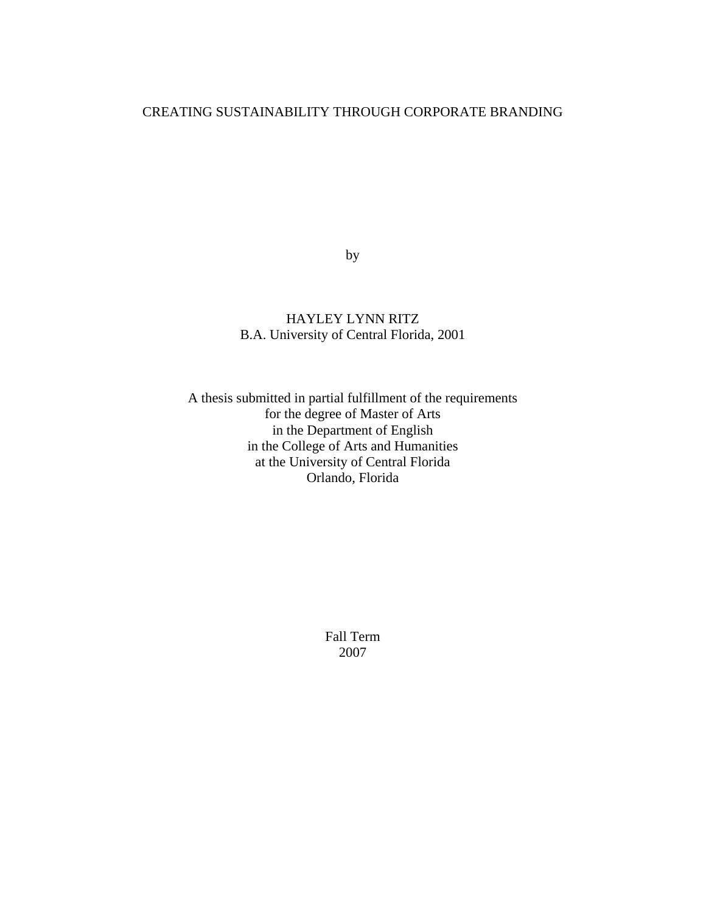# CREATING SUSTAINABILITY THROUGH CORPORATE BRANDING

by

# HAYLEY LYNN RITZ B.A. University of Central Florida, 2001

A thesis submitted in partial fulfillment of the requirements for the degree of Master of Arts in the Department of English in the College of Arts and Humanities at the University of Central Florida Orlando, Florida

> Fall Term 2007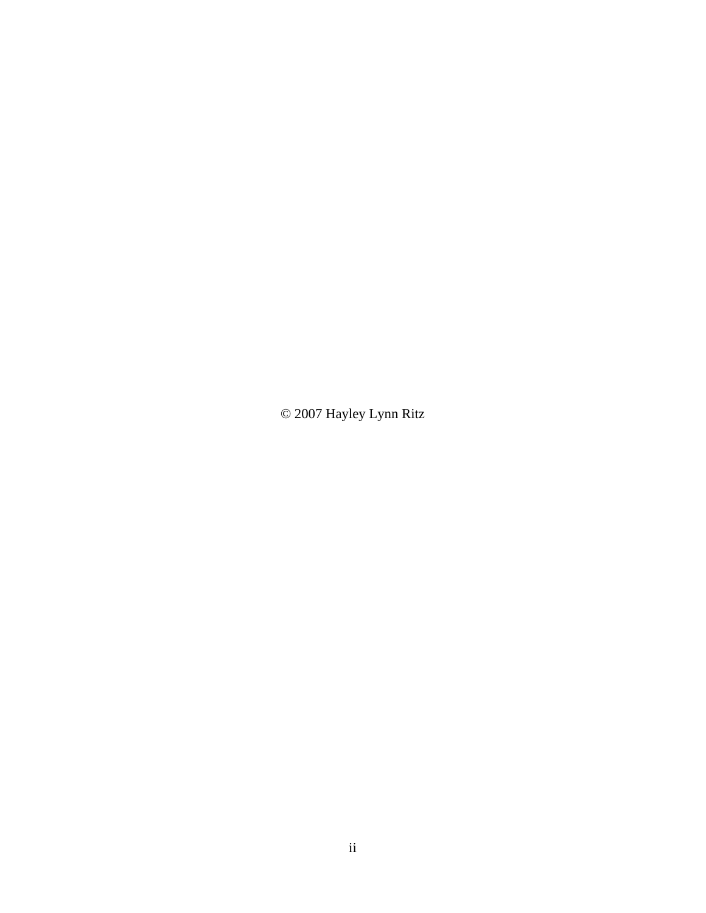© 2007 Hayley Lynn Ritz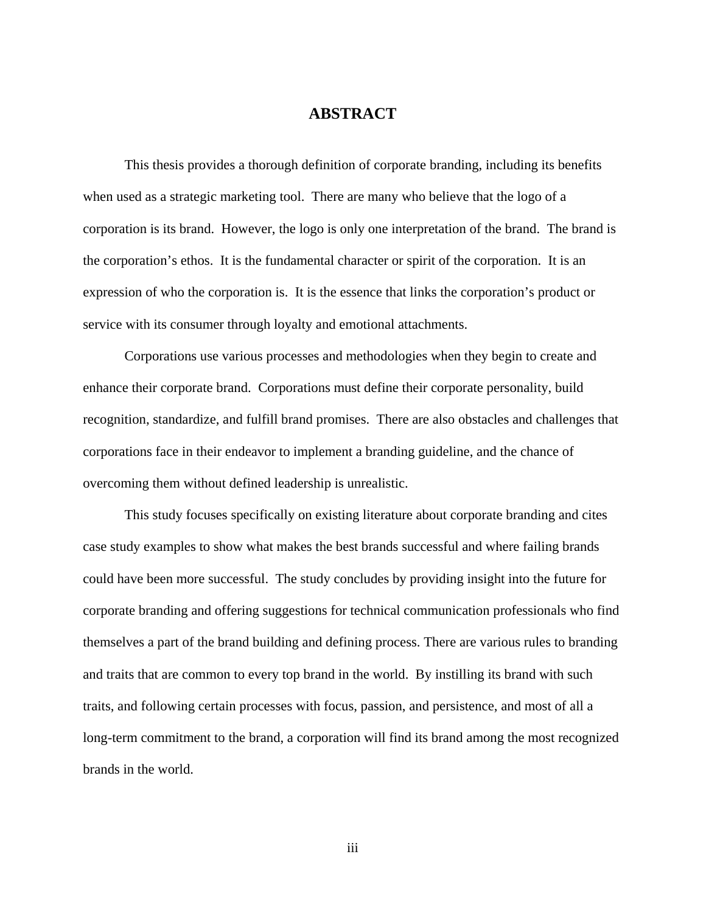# **ABSTRACT**

This thesis provides a thorough definition of corporate branding, including its benefits when used as a strategic marketing tool. There are many who believe that the logo of a corporation is its brand. However, the logo is only one interpretation of the brand. The brand is the corporation's ethos. It is the fundamental character or spirit of the corporation. It is an expression of who the corporation is. It is the essence that links the corporation's product or service with its consumer through loyalty and emotional attachments.

Corporations use various processes and methodologies when they begin to create and enhance their corporate brand. Corporations must define their corporate personality, build recognition, standardize, and fulfill brand promises. There are also obstacles and challenges that corporations face in their endeavor to implement a branding guideline, and the chance of overcoming them without defined leadership is unrealistic.

This study focuses specifically on existing literature about corporate branding and cites case study examples to show what makes the best brands successful and where failing brands could have been more successful. The study concludes by providing insight into the future for corporate branding and offering suggestions for technical communication professionals who find themselves a part of the brand building and defining process. There are various rules to branding and traits that are common to every top brand in the world. By instilling its brand with such traits, and following certain processes with focus, passion, and persistence, and most of all a long-term commitment to the brand, a corporation will find its brand among the most recognized brands in the world.

iii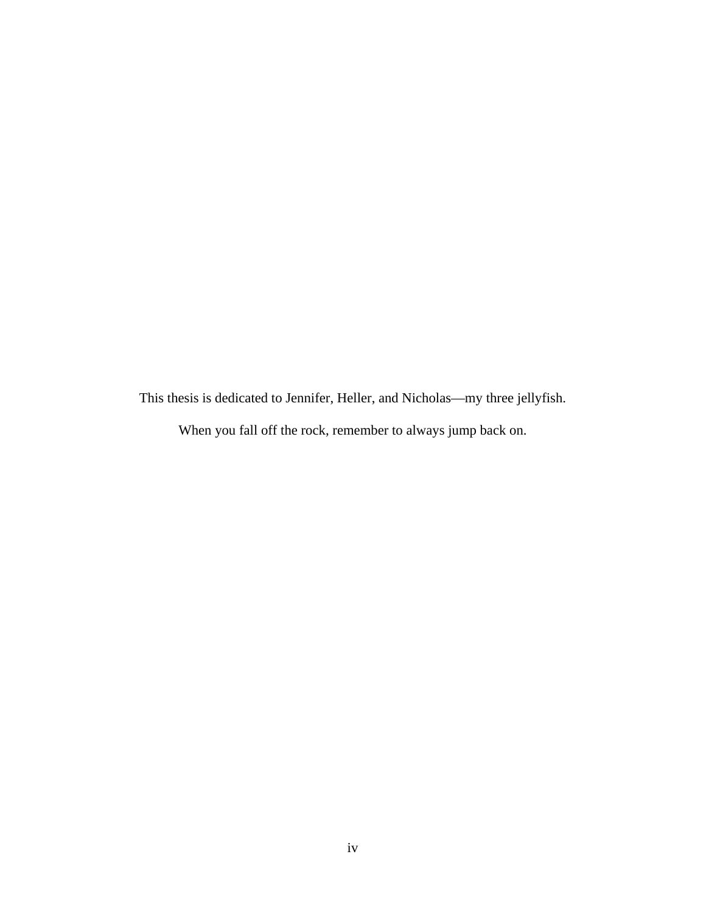This thesis is dedicated to Jennifer, Heller, and Nicholas—my three jellyfish.

When you fall off the rock, remember to always jump back on.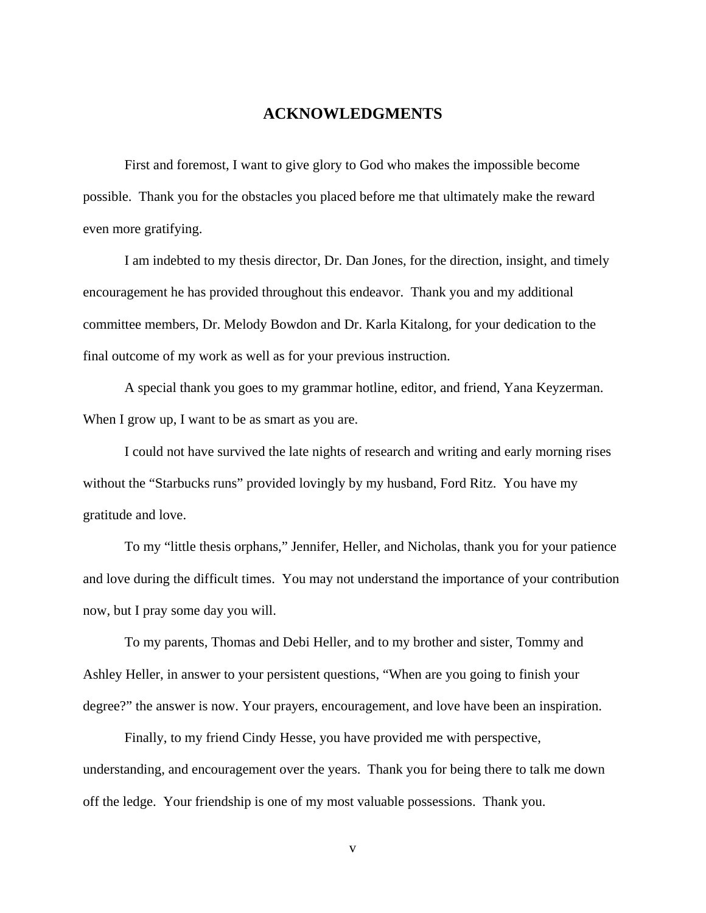# **ACKNOWLEDGMENTS**

First and foremost, I want to give glory to God who makes the impossible become possible. Thank you for the obstacles you placed before me that ultimately make the reward even more gratifying.

I am indebted to my thesis director, Dr. Dan Jones, for the direction, insight, and timely encouragement he has provided throughout this endeavor. Thank you and my additional committee members, Dr. Melody Bowdon and Dr. Karla Kitalong, for your dedication to the final outcome of my work as well as for your previous instruction.

A special thank you goes to my grammar hotline, editor, and friend, Yana Keyzerman. When I grow up, I want to be as smart as you are.

I could not have survived the late nights of research and writing and early morning rises without the "Starbucks runs" provided lovingly by my husband, Ford Ritz. You have my gratitude and love.

To my "little thesis orphans," Jennifer, Heller, and Nicholas, thank you for your patience and love during the difficult times. You may not understand the importance of your contribution now, but I pray some day you will.

To my parents, Thomas and Debi Heller, and to my brother and sister, Tommy and Ashley Heller, in answer to your persistent questions, "When are you going to finish your degree?" the answer is now. Your prayers, encouragement, and love have been an inspiration.

Finally, to my friend Cindy Hesse, you have provided me with perspective, understanding, and encouragement over the years. Thank you for being there to talk me down off the ledge. Your friendship is one of my most valuable possessions. Thank you.

v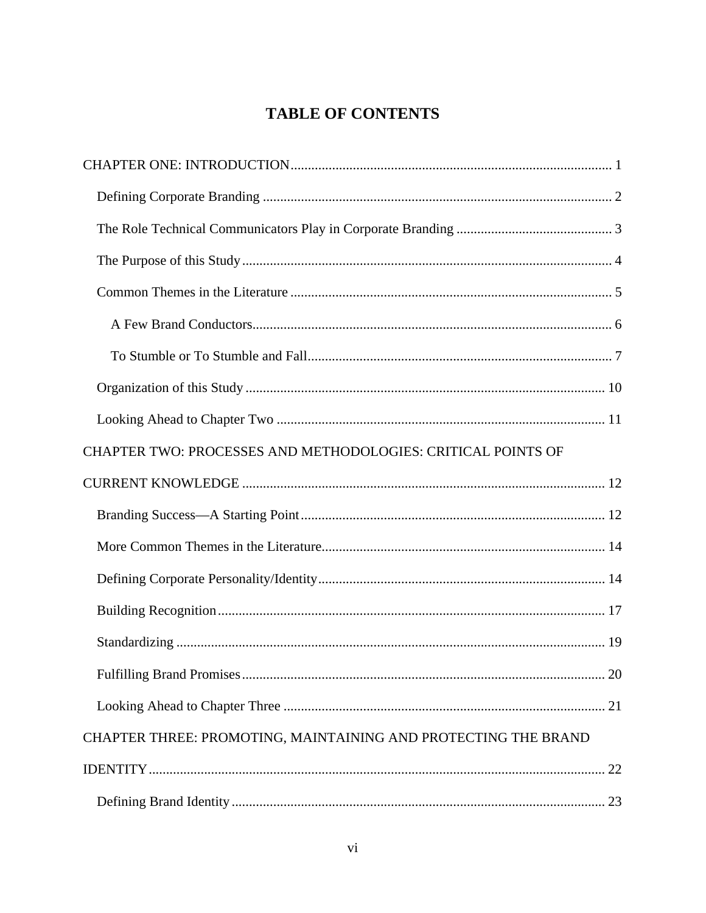# **TABLE OF CONTENTS**

| CHAPTER TWO: PROCESSES AND METHODOLOGIES: CRITICAL POINTS OF   |
|----------------------------------------------------------------|
|                                                                |
|                                                                |
|                                                                |
|                                                                |
|                                                                |
|                                                                |
|                                                                |
|                                                                |
| CHAPTER THREE: PROMOTING, MAINTAINING AND PROTECTING THE BRAND |
|                                                                |
|                                                                |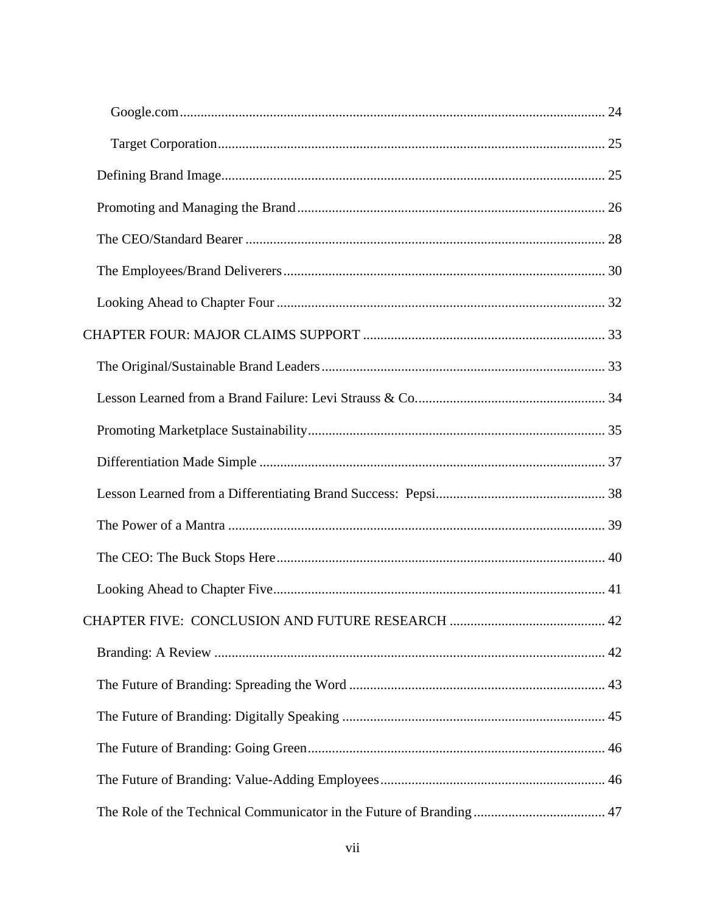| The Role of the Technical Communicator in the Future of Branding  47 |  |
|----------------------------------------------------------------------|--|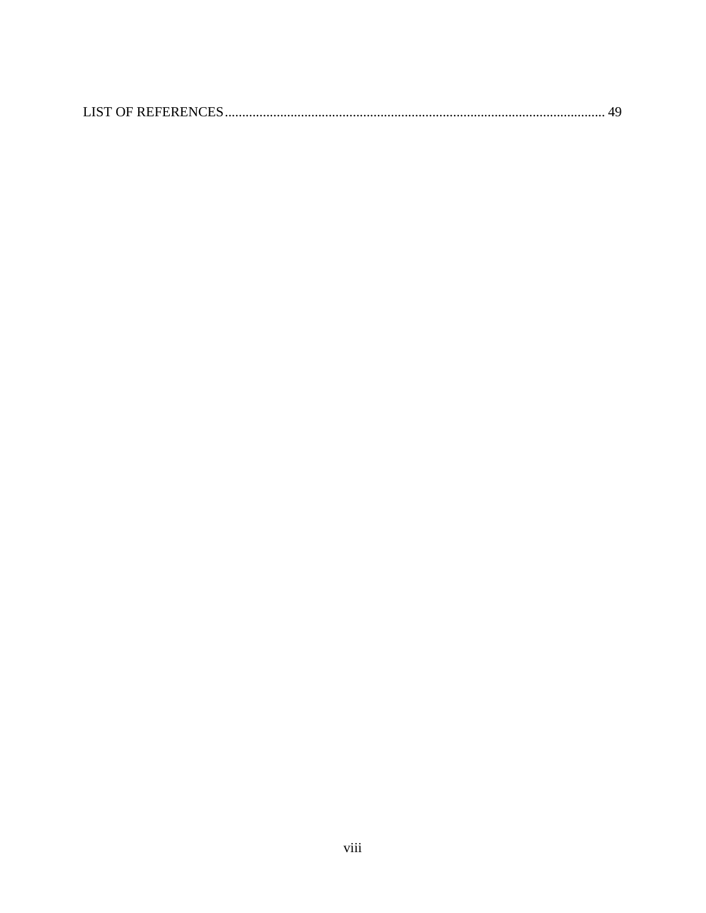|--|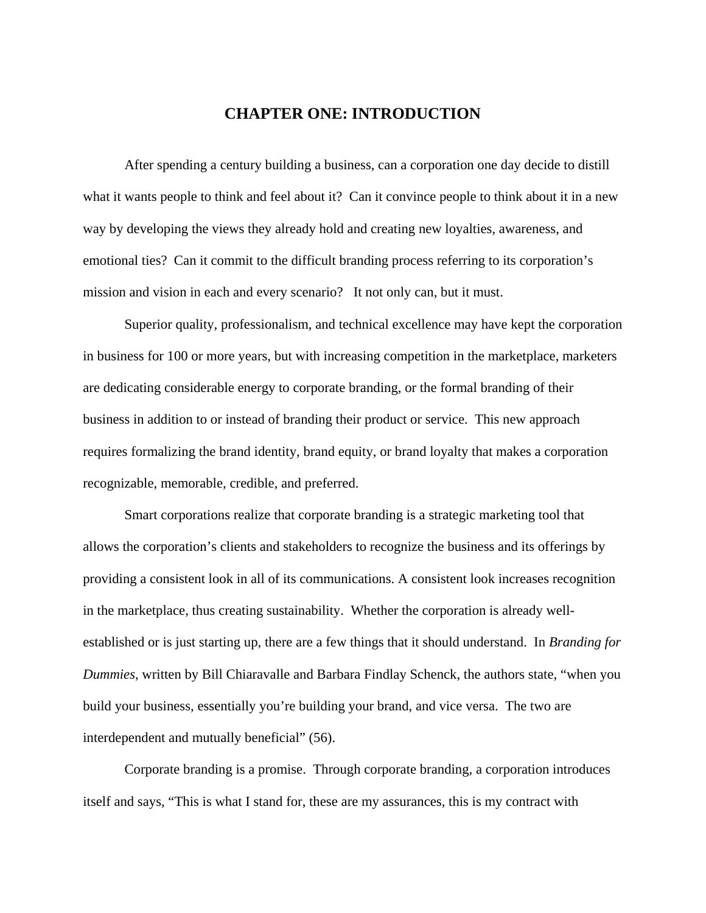# <span id="page-9-0"></span>**CHAPTER ONE: INTRODUCTION**

After spending a century building a business, can a corporation one day decide to distill what it wants people to think and feel about it? Can it convince people to think about it in a new way by developing the views they already hold and creating new loyalties, awareness, and emotional ties? Can it commit to the difficult branding process referring to its corporation's mission and vision in each and every scenario? It not only can, but it must.

Superior quality, professionalism, and technical excellence may have kept the corporation in business for 100 or more years, but with increasing competition in the marketplace, marketers are dedicating considerable energy to corporate branding, or the formal branding of their business in addition to or instead of branding their product or service. This new approach requires formalizing the brand identity, brand equity, or brand loyalty that makes a corporation recognizable, memorable, credible, and preferred.

Smart corporations realize that corporate branding is a strategic marketing tool that allows the corporation's clients and stakeholders to recognize the business and its offerings by providing a consistent look in all of its communications. A consistent look increases recognition in the marketplace, thus creating sustainability. Whether the corporation is already wellestablished or is just starting up, there are a few things that it should understand. In *Branding for Dummies*, written by Bill Chiaravalle and Barbara Findlay Schenck, the authors state, "when you build your business, essentially you're building your brand, and vice versa. The two are interdependent and mutually beneficial" (56).

Corporate branding is a promise. Through corporate branding, a corporation introduces itself and says, "This is what I stand for, these are my assurances, this is my contract with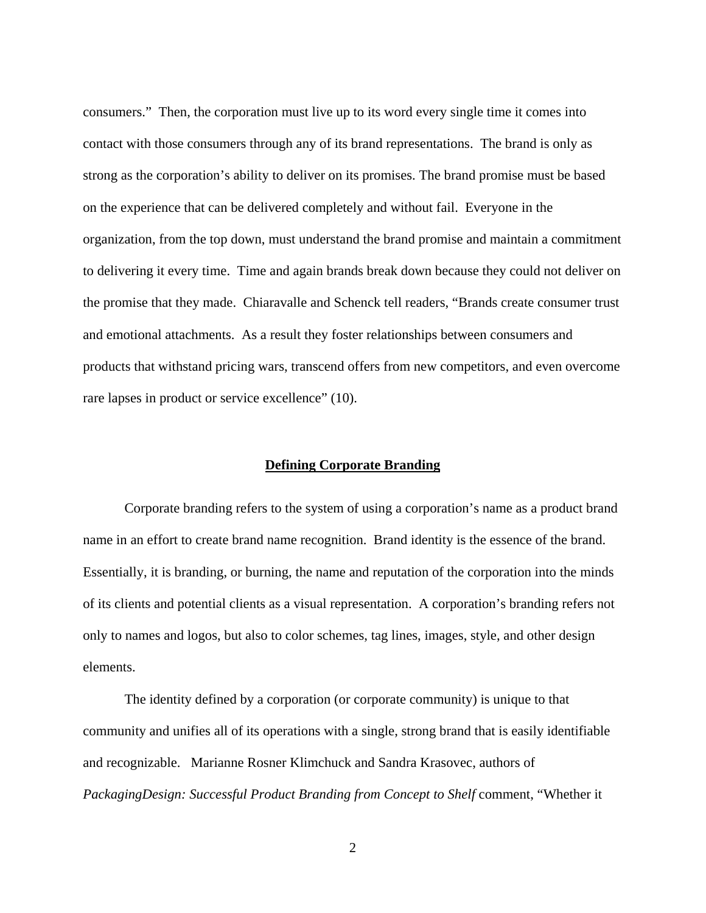consumers." Then, the corporation must live up to its word every single time it comes into contact with those consumers through any of its brand representations. The brand is only as strong as the corporation's ability to deliver on its promises. The brand promise must be based on the experience that can be delivered completely and without fail. Everyone in the organization, from the top down, must understand the brand promise and maintain a commitment to delivering it every time. Time and again brands break down because they could not deliver on the promise that they made. Chiaravalle and Schenck tell readers, "Brands create consumer trust and emotional attachments. As a result they foster relationships between consumers and products that withstand pricing wars, transcend offers from new competitors, and even overcome rare lapses in product or service excellence" (10).

#### <span id="page-10-0"></span>**Defining Corporate Branding**

Corporate branding refers to the system of using a corporation's name as a product brand name in an effort to create brand name recognition. Brand identity is the essence of the brand. Essentially, it is branding, or burning, the name and reputation of the corporation into the minds of its clients and potential clients as a visual representation. A corporation's branding refers not only to names and logos, but also to color schemes, tag lines, images, style, and other design elements.

The identity defined by a corporation (or corporate community) is unique to that community and unifies all of its operations with a single, strong brand that is easily identifiable and recognizable. Marianne Rosner Klimchuck and Sandra Krasovec, authors of *PackagingDesign: Successful Product Branding from Concept to Shelf* comment, "Whether it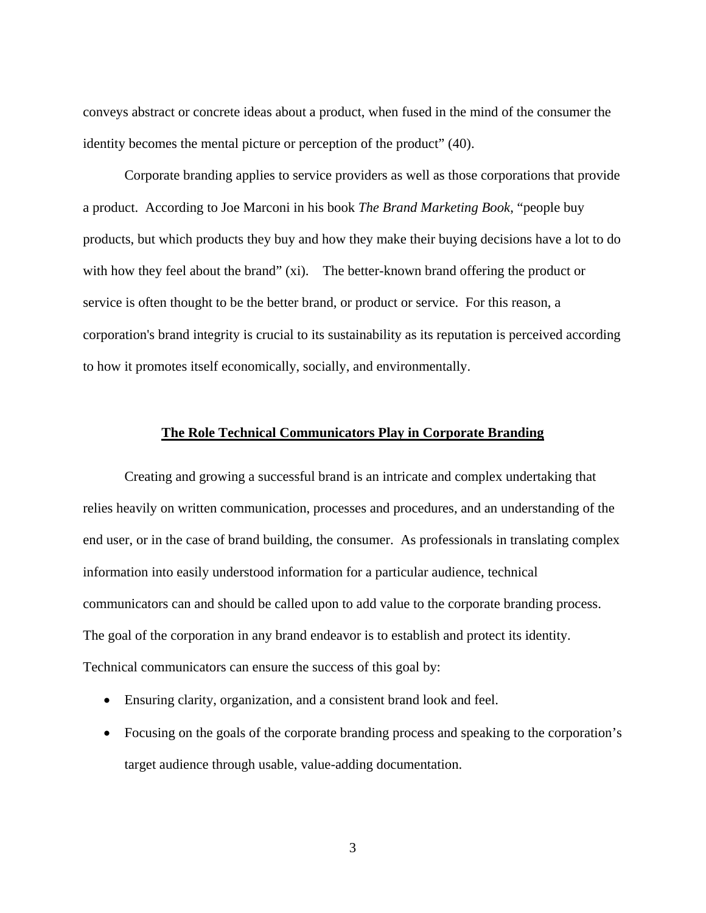conveys abstract or concrete ideas about a product, when fused in the mind of the consumer the identity becomes the mental picture or perception of the product" (40).

Corporate branding applies to service providers as well as those corporations that provide a product. According to Joe Marconi in his book *The Brand Marketing Book*, "people buy products, but which products they buy and how they make their buying decisions have a lot to do with how they feel about the brand" (xi). The better-known brand offering the product or service is often thought to be the better brand, or product or service. For this reason, a corporation's brand integrity is crucial to its sustainability as its reputation is perceived according to how it promotes itself economically, socially, and environmentally.

#### <span id="page-11-0"></span>**The Role Technical Communicators Play in Corporate Branding**

Creating and growing a successful brand is an intricate and complex undertaking that relies heavily on written communication, processes and procedures, and an understanding of the end user, or in the case of brand building, the consumer. As professionals in translating complex information into easily understood information for a particular audience, technical communicators can and should be called upon to add value to the corporate branding process. The goal of the corporation in any brand endeavor is to establish and protect its identity. Technical communicators can ensure the success of this goal by:

- Ensuring clarity, organization, and a consistent brand look and feel.
- Focusing on the goals of the corporate branding process and speaking to the corporation's target audience through usable, value-adding documentation.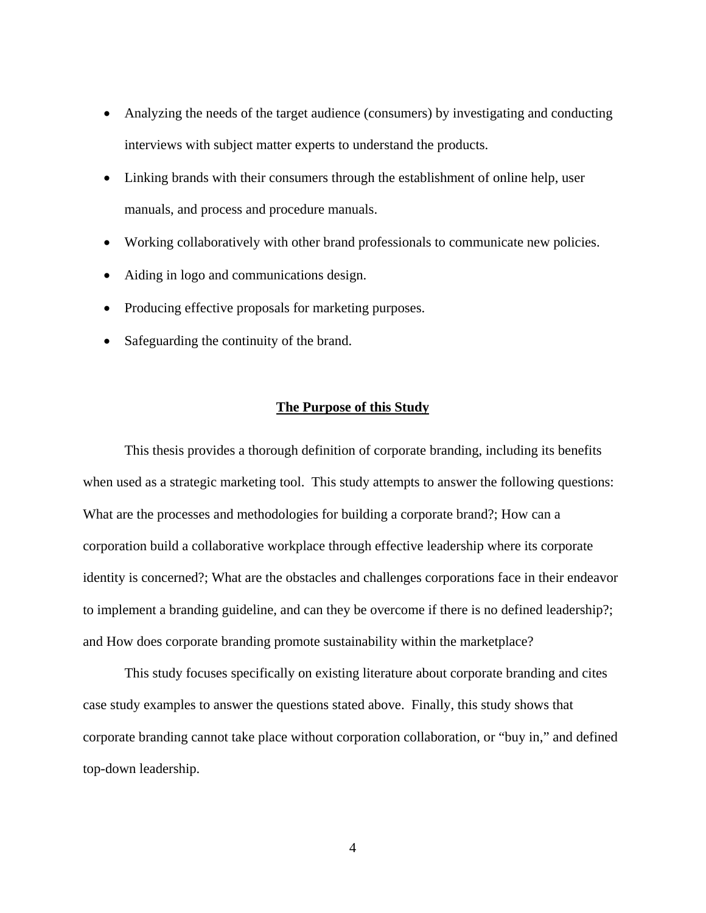- Analyzing the needs of the target audience (consumers) by investigating and conducting interviews with subject matter experts to understand the products.
- Linking brands with their consumers through the establishment of online help, user manuals, and process and procedure manuals.
- Working collaboratively with other brand professionals to communicate new policies.
- Aiding in logo and communications design.
- Producing effective proposals for marketing purposes.
- Safeguarding the continuity of the brand.

#### <span id="page-12-0"></span>**The Purpose of this Study**

This thesis provides a thorough definition of corporate branding, including its benefits when used as a strategic marketing tool. This study attempts to answer the following questions: What are the processes and methodologies for building a corporate brand?; How can a corporation build a collaborative workplace through effective leadership where its corporate identity is concerned?; What are the obstacles and challenges corporations face in their endeavor to implement a branding guideline, and can they be overcome if there is no defined leadership?; and How does corporate branding promote sustainability within the marketplace?

This study focuses specifically on existing literature about corporate branding and cites case study examples to answer the questions stated above. Finally, this study shows that corporate branding cannot take place without corporation collaboration, or "buy in," and defined top-down leadership.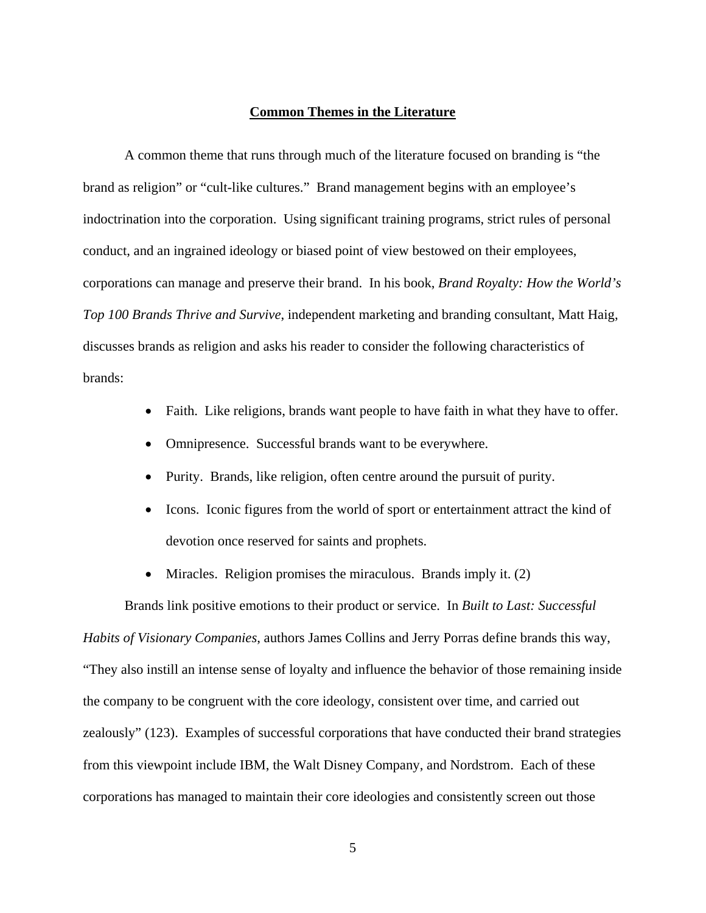#### <span id="page-13-0"></span>**Common Themes in the Literature**

A common theme that runs through much of the literature focused on branding is "the brand as religion" or "cult-like cultures." Brand management begins with an employee's indoctrination into the corporation. Using significant training programs, strict rules of personal conduct, and an ingrained ideology or biased point of view bestowed on their employees, corporations can manage and preserve their brand. In his book, *Brand Royalty: How the World's Top 100 Brands Thrive and Survive*, independent marketing and branding consultant, Matt Haig, discusses brands as religion and asks his reader to consider the following characteristics of brands:

- Faith. Like religions, brands want people to have faith in what they have to offer.
- Omnipresence. Successful brands want to be everywhere.
- Purity. Brands, like religion, often centre around the pursuit of purity.
- Icons. Iconic figures from the world of sport or entertainment attract the kind of devotion once reserved for saints and prophets.
- Miracles. Religion promises the miraculous. Brands imply it. (2)

Brands link positive emotions to their product or service. In *Built to Last: Successful Habits of Visionary Companies*, authors James Collins and Jerry Porras define brands this way, "They also instill an intense sense of loyalty and influence the behavior of those remaining inside the company to be congruent with the core ideology, consistent over time, and carried out zealously" (123). Examples of successful corporations that have conducted their brand strategies from this viewpoint include IBM, the Walt Disney Company, and Nordstrom. Each of these corporations has managed to maintain their core ideologies and consistently screen out those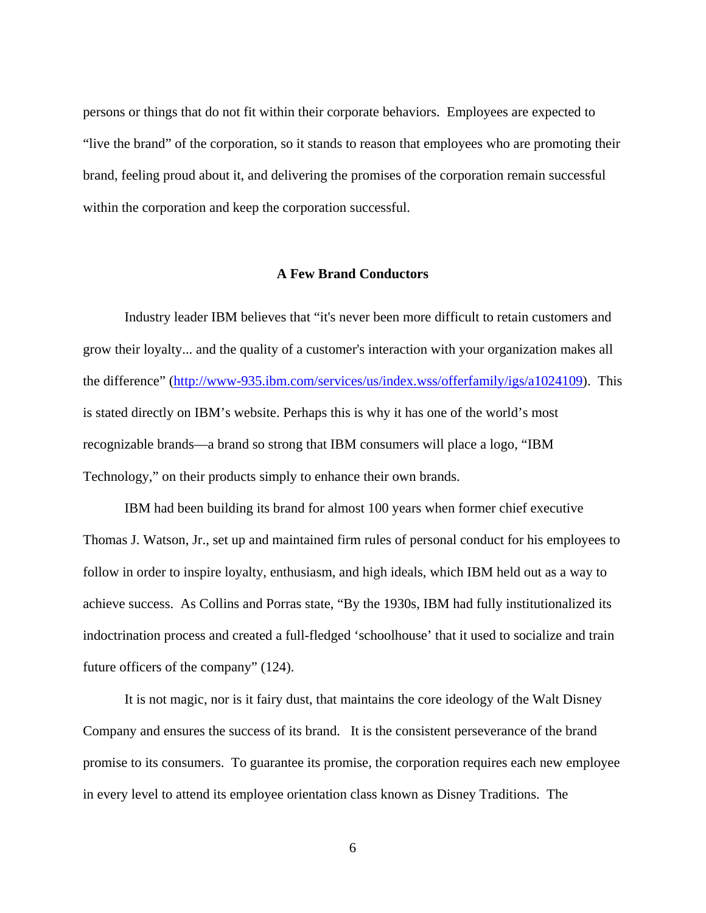persons or things that do not fit within their corporate behaviors. Employees are expected to "live the brand" of the corporation, so it stands to reason that employees who are promoting their brand, feeling proud about it, and delivering the promises of the corporation remain successful within the corporation and keep the corporation successful.

#### <span id="page-14-0"></span>**A Few Brand Conductors**

Industry leader IBM believes that "it's never been more difficult to retain customers and grow their loyalty... and the quality of a customer's interaction with your organization makes all the difference" (http://www-935.ibm.com/services/us/index.wss/offerfamily/igs/a1024109). This is stated directly on IBM's website. Perhaps this is why it has one of the world's most recognizable brands—a brand so strong that IBM consumers will place a logo, "IBM Technology," on their products simply to enhance their own brands.

IBM had been building its brand for almost 100 years when former chief executive Thomas J. Watson, Jr., set up and maintained firm rules of personal conduct for his employees to follow in order to inspire loyalty, enthusiasm, and high ideals, which IBM held out as a way to achieve success. As Collins and Porras state, "By the 1930s, IBM had fully institutionalized its indoctrination process and created a full-fledged 'schoolhouse' that it used to socialize and train future officers of the company" (124).

It is not magic, nor is it fairy dust, that maintains the core ideology of the Walt Disney Company and ensures the success of its brand. It is the consistent perseverance of the brand promise to its consumers. To guarantee its promise, the corporation requires each new employee in every level to attend its employee orientation class known as Disney Traditions. The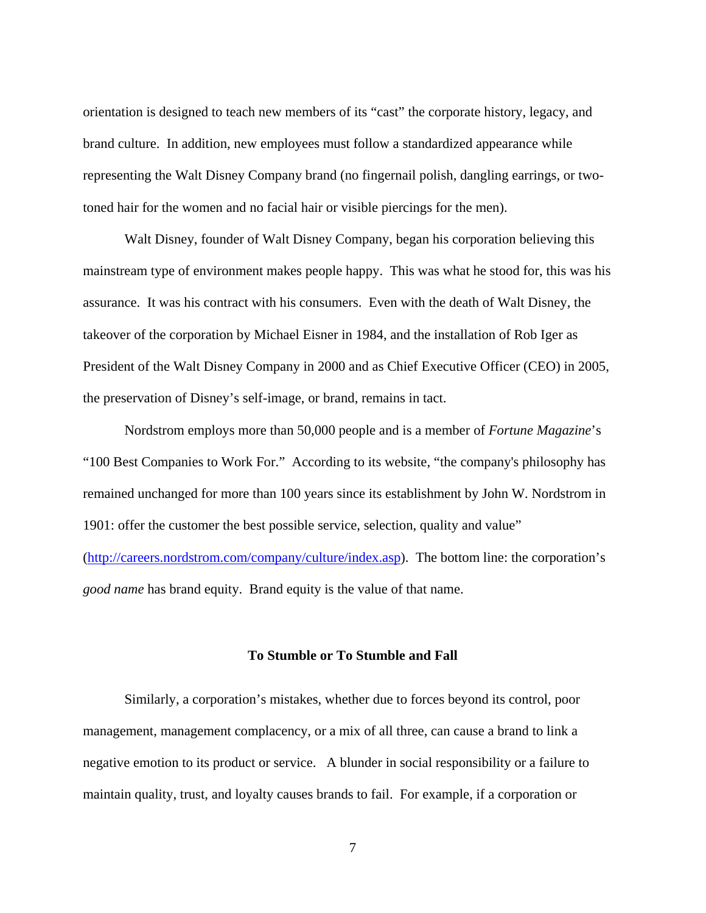orientation is designed to teach new members of its "cast" the corporate history, legacy, and brand culture. In addition, new employees must follow a standardized appearance while representing the Walt Disney Company brand (no fingernail polish, dangling earrings, or twotoned hair for the women and no facial hair or visible piercings for the men).

Walt Disney, founder of Walt Disney Company, began his corporation believing this mainstream type of environment makes people happy. This was what he stood for, this was his assurance. It was his contract with his consumers. Even with the death of Walt Disney, the takeover of the corporation by Michael Eisner in 1984, and the installation of Rob Iger as President of the Walt Disney Company in 2000 and as Chief Executive Officer (CEO) in 2005, the preservation of Disney's self-image, or brand, remains in tact.

Nordstrom employs more than 50,000 people and is a member of *Fortune Magazine*'s "100 Best Companies to Work For." According to its website, "the company's philosophy has remained unchanged for more than 100 years since its establishment by John W. Nordstrom in 1901: offer the customer the best possible service, selection, quality and value" (http://careers.nordstrom.com/company/culture/index.asp). The bottom line: the corporation's *good name* has brand equity. Brand equity is the value of that name.

#### <span id="page-15-0"></span>**To Stumble or To Stumble and Fall**

Similarly, a corporation's mistakes, whether due to forces beyond its control, poor management, management complacency, or a mix of all three, can cause a brand to link a negative emotion to its product or service. A blunder in social responsibility or a failure to maintain quality, trust, and loyalty causes brands to fail. For example, if a corporation or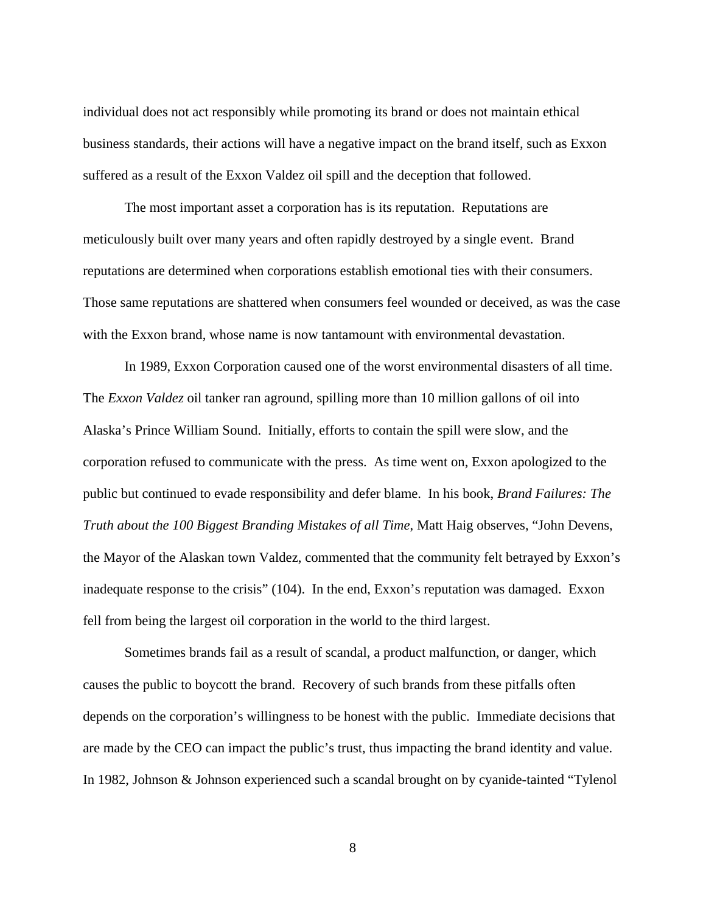individual does not act responsibly while promoting its brand or does not maintain ethical business standards, their actions will have a negative impact on the brand itself, such as Exxon suffered as a result of the Exxon Valdez oil spill and the deception that followed.

The most important asset a corporation has is its reputation. Reputations are meticulously built over many years and often rapidly destroyed by a single event. Brand reputations are determined when corporations establish emotional ties with their consumers. Those same reputations are shattered when consumers feel wounded or deceived, as was the case with the Exxon brand, whose name is now tantamount with environmental devastation.

In 1989, Exxon Corporation caused one of the worst environmental disasters of all time. The *Exxon Valdez* oil tanker ran aground, spilling more than 10 million gallons of oil into Alaska's Prince William Sound. Initially, efforts to contain the spill were slow, and the corporation refused to communicate with the press. As time went on, Exxon apologized to the public but continued to evade responsibility and defer blame. In his book, *Brand Failures: The Truth about the 100 Biggest Branding Mistakes of all Time*, Matt Haig observes, "John Devens, the Mayor of the Alaskan town Valdez, commented that the community felt betrayed by Exxon's inadequate response to the crisis" (104). In the end, Exxon's reputation was damaged. Exxon fell from being the largest oil corporation in the world to the third largest.

Sometimes brands fail as a result of scandal, a product malfunction, or danger, which causes the public to boycott the brand. Recovery of such brands from these pitfalls often depends on the corporation's willingness to be honest with the public. Immediate decisions that are made by the CEO can impact the public's trust, thus impacting the brand identity and value. In 1982, Johnson & Johnson experienced such a scandal brought on by cyanide-tainted "Tylenol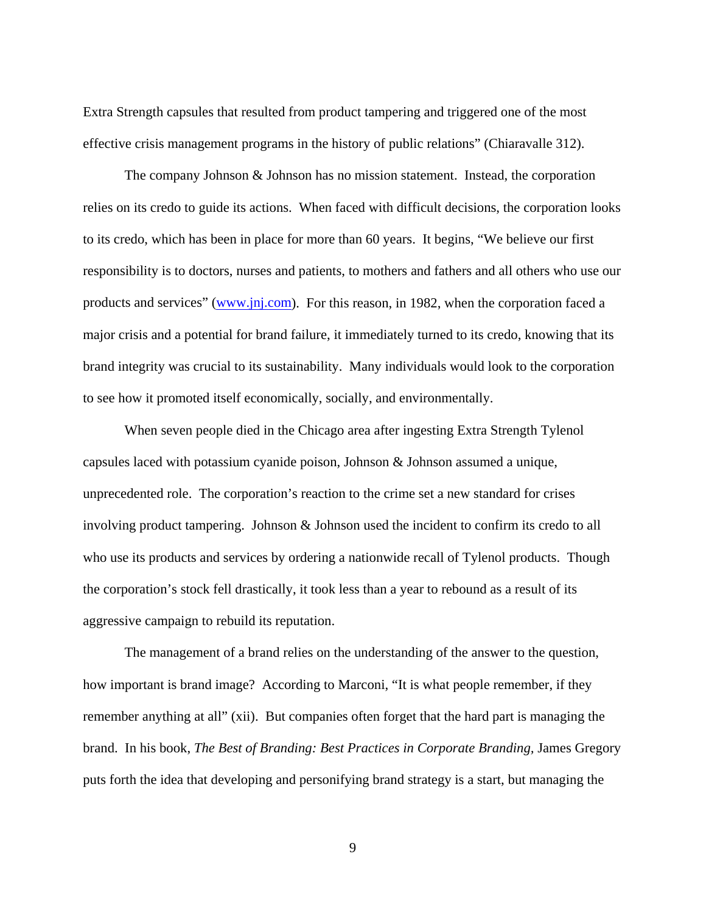Extra Strength capsules that resulted from product tampering and triggered one of the most effective crisis management programs in the history of public relations" (Chiaravalle 312).

The company Johnson & Johnson has no mission statement. Instead, the corporation relies on its credo to guide its actions. When faced with difficult decisions, the corporation looks to its credo, which has been in place for more than 60 years. It begins, "We believe our first responsibility is to doctors, nurses and patients, to mothers and fathers and all others who use our products and services" (www.jnj.com). For this reason, in 1982, when the corporation faced a major crisis and a potential for brand failure, it immediately turned to its credo, knowing that its brand integrity was crucial to its sustainability. Many individuals would look to the corporation to see how it promoted itself economically, socially, and environmentally.

When seven people died in the Chicago area after ingesting Extra Strength Tylenol capsules laced with potassium cyanide poison, Johnson & Johnson assumed a unique, unprecedented role. The corporation's reaction to the crime set a new standard for crises involving product tampering. Johnson & Johnson used the incident to confirm its credo to all who use its products and services by ordering a nationwide recall of Tylenol products. Though the corporation's stock fell drastically, it took less than a year to rebound as a result of its aggressive campaign to rebuild its reputation.

The management of a brand relies on the understanding of the answer to the question, how important is brand image? According to Marconi, "It is what people remember, if they remember anything at all" (xii). But companies often forget that the hard part is managing the brand. In his book, *The Best of Branding: Best Practices in Corporate Branding,* James Gregory puts forth the idea that developing and personifying brand strategy is a start, but managing the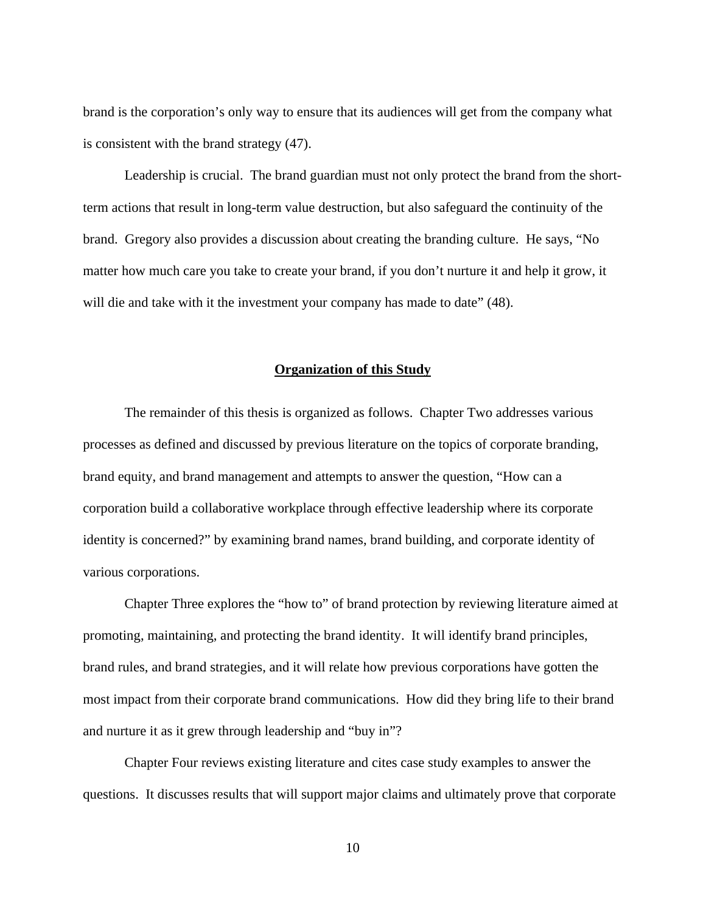brand is the corporation's only way to ensure that its audiences will get from the company what is consistent with the brand strategy (47).

Leadership is crucial. The brand guardian must not only protect the brand from the shortterm actions that result in long-term value destruction, but also safeguard the continuity of the brand. Gregory also provides a discussion about creating the branding culture. He says, "No matter how much care you take to create your brand, if you don't nurture it and help it grow, it will die and take with it the investment your company has made to date" (48).

#### <span id="page-18-0"></span>**Organization of this Study**

The remainder of this thesis is organized as follows. Chapter Two addresses various processes as defined and discussed by previous literature on the topics of corporate branding, brand equity, and brand management and attempts to answer the question, "How can a corporation build a collaborative workplace through effective leadership where its corporate identity is concerned?" by examining brand names, brand building, and corporate identity of various corporations.

Chapter Three explores the "how to" of brand protection by reviewing literature aimed at promoting, maintaining, and protecting the brand identity. It will identify brand principles, brand rules, and brand strategies, and it will relate how previous corporations have gotten the most impact from their corporate brand communications. How did they bring life to their brand and nurture it as it grew through leadership and "buy in"?

Chapter Four reviews existing literature and cites case study examples to answer the questions. It discusses results that will support major claims and ultimately prove that corporate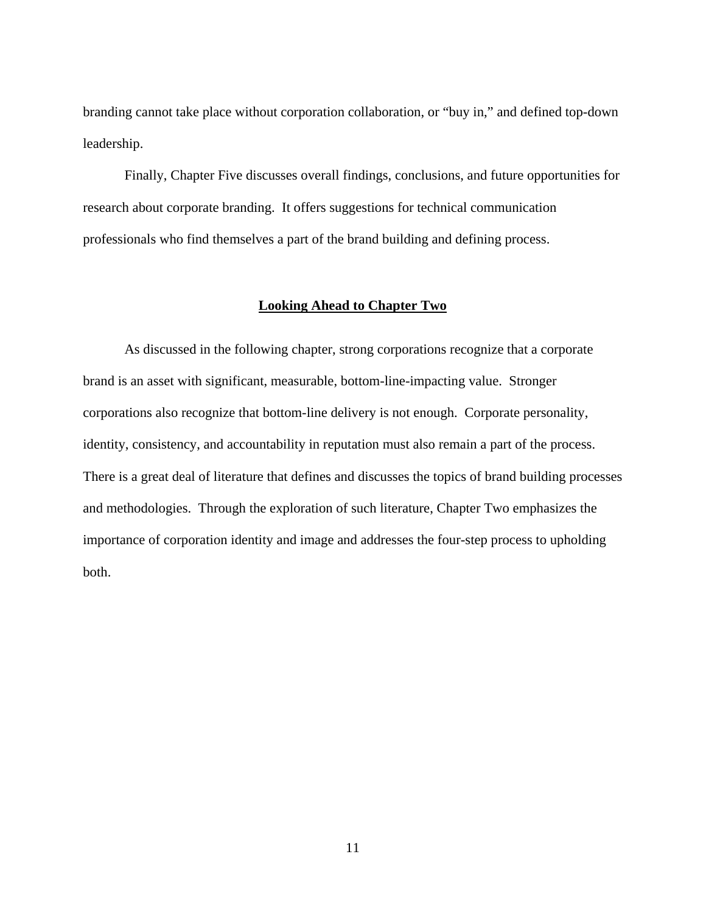branding cannot take place without corporation collaboration, or "buy in," and defined top-down leadership.

Finally, Chapter Five discusses overall findings, conclusions, and future opportunities for research about corporate branding. It offers suggestions for technical communication professionals who find themselves a part of the brand building and defining process.

### <span id="page-19-0"></span>**Looking Ahead to Chapter Two**

As discussed in the following chapter, strong corporations recognize that a corporate brand is an asset with significant, measurable, bottom-line-impacting value. Stronger corporations also recognize that bottom-line delivery is not enough. Corporate personality, identity, consistency, and accountability in reputation must also remain a part of the process. There is a great deal of literature that defines and discusses the topics of brand building processes and methodologies. Through the exploration of such literature, Chapter Two emphasizes the importance of corporation identity and image and addresses the four-step process to upholding both.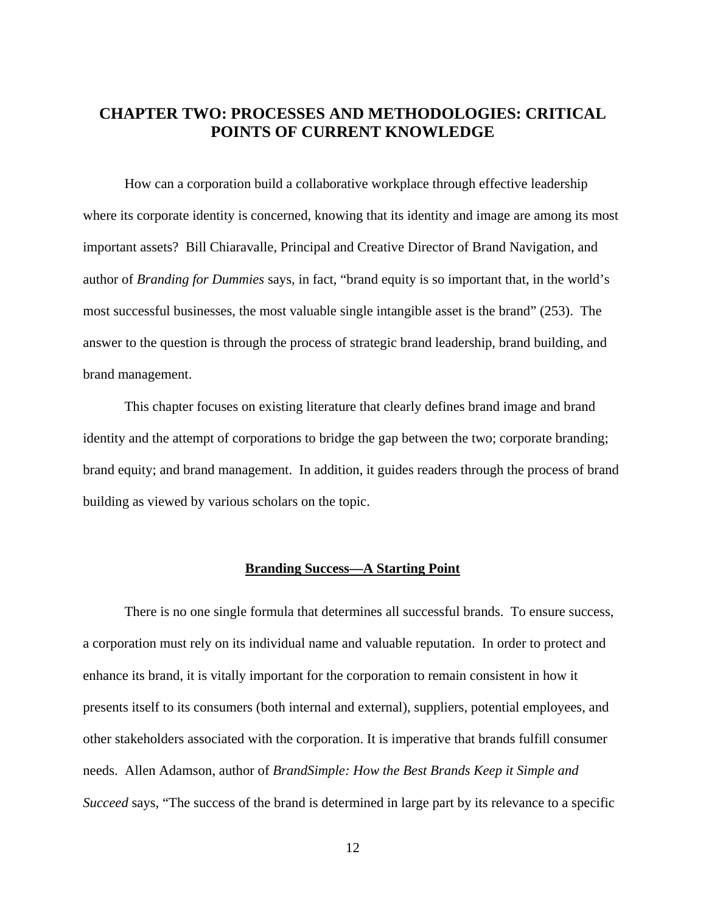# <span id="page-20-0"></span>**CHAPTER TWO: PROCESSES AND METHODOLOGIES: CRITICAL POINTS OF CURRENT KNOWLEDGE**

How can a corporation build a collaborative workplace through effective leadership where its corporate identity is concerned, knowing that its identity and image are among its most important assets? Bill Chiaravalle, Principal and Creative Director of Brand Navigation, and author of *Branding for Dummies* says, in fact, "brand equity is so important that, in the world's most successful businesses, the most valuable single intangible asset is the brand" (253). The answer to the question is through the process of strategic brand leadership, brand building, and brand management.

This chapter focuses on existing literature that clearly defines brand image and brand identity and the attempt of corporations to bridge the gap between the two; corporate branding; brand equity; and brand management. In addition, it guides readers through the process of brand building as viewed by various scholars on the topic.

#### <span id="page-20-1"></span>**Branding Success—A Starting Point**

There is no one single formula that determines all successful brands. To ensure success, a corporation must rely on its individual name and valuable reputation. In order to protect and enhance its brand, it is vitally important for the corporation to remain consistent in how it presents itself to its consumers (both internal and external), suppliers, potential employees, and other stakeholders associated with the corporation. It is imperative that brands fulfill consumer needs. Allen Adamson, author of *BrandSimple: How the Best Brands Keep it Simple and Succeed* says, "The success of the brand is determined in large part by its relevance to a specific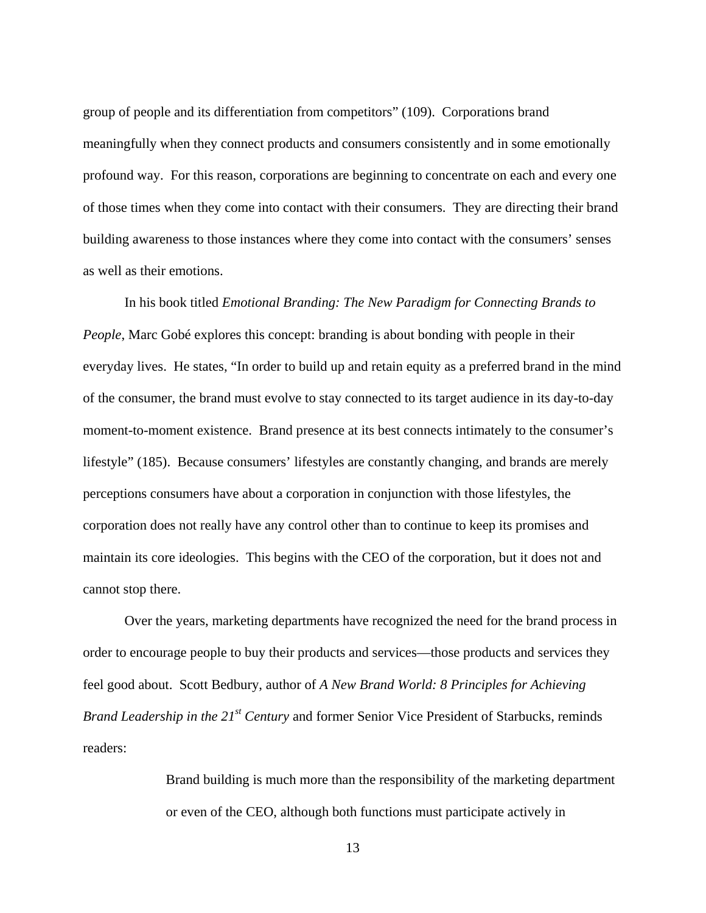group of people and its differentiation from competitors" (109). Corporations brand meaningfully when they connect products and consumers consistently and in some emotionally profound way. For this reason, corporations are beginning to concentrate on each and every one of those times when they come into contact with their consumers. They are directing their brand building awareness to those instances where they come into contact with the consumers' senses as well as their emotions.

In his book titled *Emotional Branding: The New Paradigm for Connecting Brands to People*, Marc Gobé explores this concept: branding is about bonding with people in their everyday lives. He states, "In order to build up and retain equity as a preferred brand in the mind of the consumer, the brand must evolve to stay connected to its target audience in its day-to-day moment-to-moment existence. Brand presence at its best connects intimately to the consumer's lifestyle" (185). Because consumers' lifestyles are constantly changing, and brands are merely perceptions consumers have about a corporation in conjunction with those lifestyles, the corporation does not really have any control other than to continue to keep its promises and maintain its core ideologies. This begins with the CEO of the corporation, but it does not and cannot stop there.

Over the years, marketing departments have recognized the need for the brand process in order to encourage people to buy their products and services—those products and services they feel good about. Scott Bedbury, author of *A New Brand World: 8 Principles for Achieving Brand Leadership in the 21st Century* and former Senior Vice President of Starbucks, reminds readers:

> Brand building is much more than the responsibility of the marketing department or even of the CEO, although both functions must participate actively in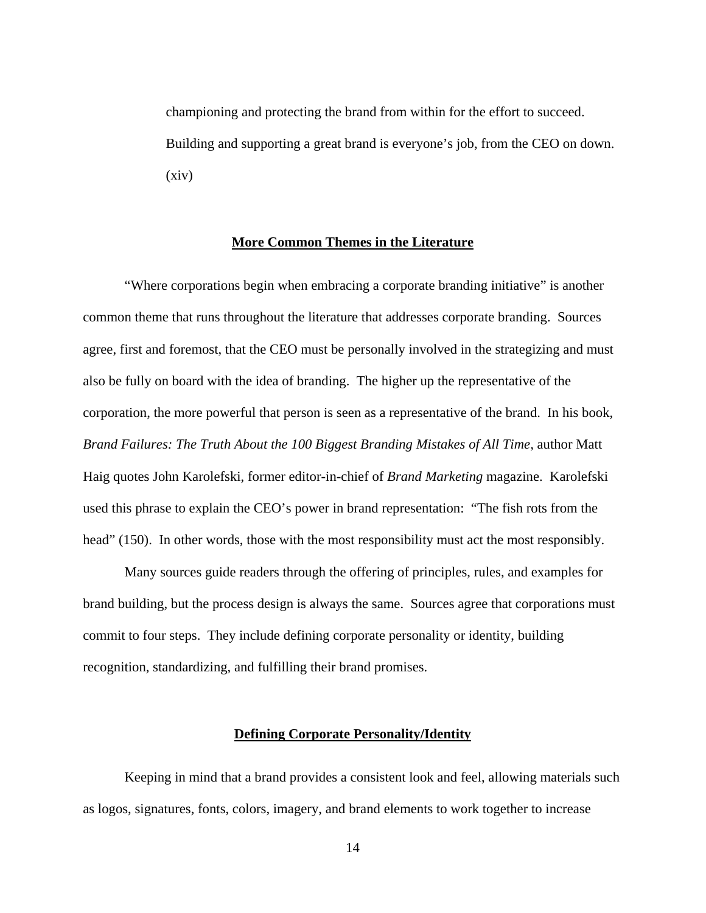championing and protecting the brand from within for the effort to succeed. Building and supporting a great brand is everyone's job, from the CEO on down. (xiv)

#### <span id="page-22-0"></span>**More Common Themes in the Literature**

"Where corporations begin when embracing a corporate branding initiative" is another common theme that runs throughout the literature that addresses corporate branding. Sources agree, first and foremost, that the CEO must be personally involved in the strategizing and must also be fully on board with the idea of branding. The higher up the representative of the corporation, the more powerful that person is seen as a representative of the brand. In his book, *Brand Failures: The Truth About the 100 Biggest Branding Mistakes of All Time, author Matt* Haig quotes John Karolefski, former editor-in-chief of *Brand Marketing* magazine. Karolefski used this phrase to explain the CEO's power in brand representation: "The fish rots from the head" (150). In other words, those with the most responsibility must act the most responsibly.

Many sources guide readers through the offering of principles, rules, and examples for brand building, but the process design is always the same. Sources agree that corporations must commit to four steps. They include defining corporate personality or identity, building recognition, standardizing, and fulfilling their brand promises.

#### <span id="page-22-1"></span>**Defining Corporate Personality/Identity**

Keeping in mind that a brand provides a consistent look and feel, allowing materials such as logos, signatures, fonts, colors, imagery, and brand elements to work together to increase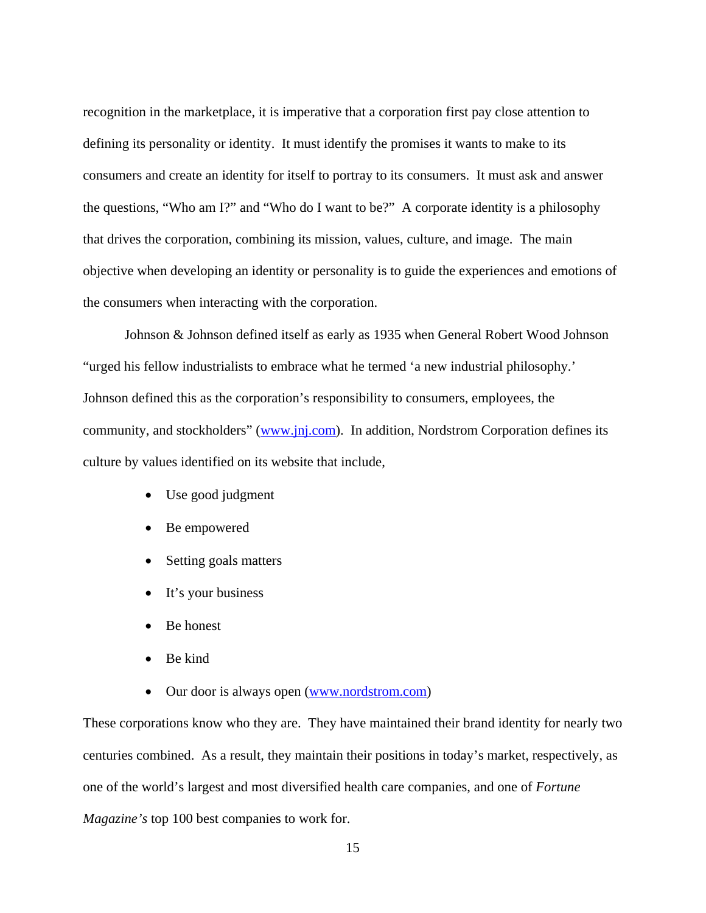recognition in the marketplace, it is imperative that a corporation first pay close attention to defining its personality or identity. It must identify the promises it wants to make to its consumers and create an identity for itself to portray to its consumers. It must ask and answer the questions, "Who am I?" and "Who do I want to be?" A corporate identity is a philosophy that drives the corporation, combining its mission, values, culture, and image. The main objective when developing an identity or personality is to guide the experiences and emotions of the consumers when interacting with the corporation.

Johnson & Johnson defined itself as early as 1935 when General Robert Wood Johnson "urged his fellow industrialists to embrace what he termed 'a new industrial philosophy.' Johnson defined this as the corporation's responsibility to consumers, employees, the community, and stockholders" (www.jnj.com). In addition, Nordstrom Corporation defines its culture by values identified on its website that include,

- Use good judgment
- Be empowered
- Setting goals matters
- It's your business
- Be honest
- Be kind
- Our door is always open (www.nordstrom.com)

These corporations know who they are. They have maintained their brand identity for nearly two centuries combined. As a result, they maintain their positions in today's market, respectively, as one of the world's largest and most diversified health care companies, and one of *Fortune Magazine's* top 100 best companies to work for.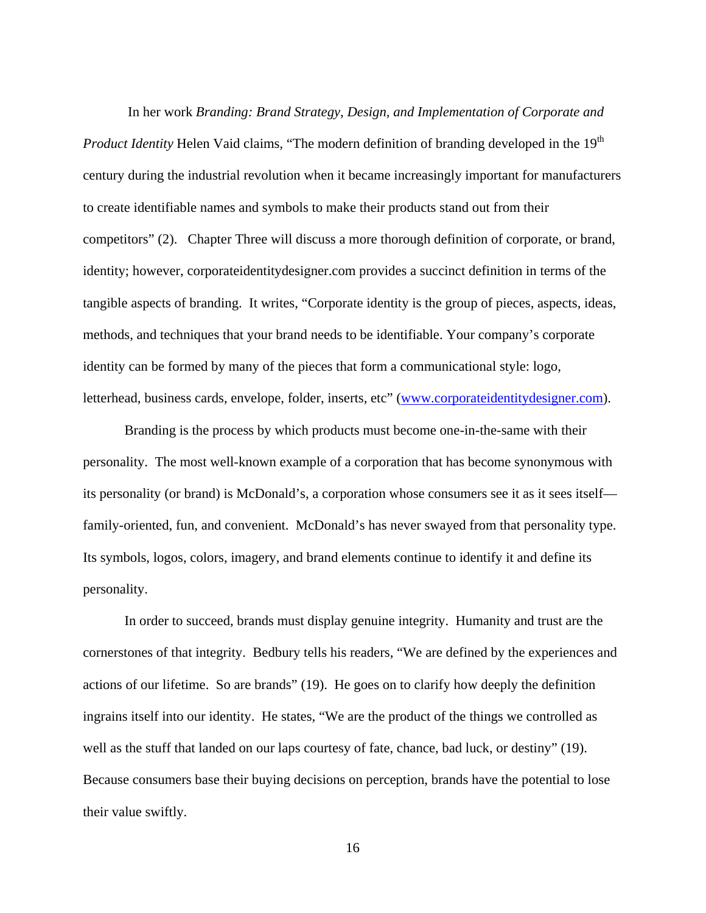In her work *Branding: Brand Strategy, Design, and Implementation of Corporate and Product Identity* Helen Vaid claims, "The modern definition of branding developed in the 19<sup>th</sup> century during the industrial revolution when it became increasingly important for manufacturers to create identifiable names and symbols to make their products stand out from their competitors" (2). Chapter Three will discuss a more thorough definition of corporate, or brand, identity; however, corporateidentitydesigner.com provides a succinct definition in terms of the tangible aspects of branding. It writes, "Corporate identity is the group of pieces, aspects, ideas, methods, and techniques that your brand needs to be identifiable. Your company's corporate identity can be formed by many of the pieces that form a communicational style: [logo,](http://www.logtechnology.com/) [letterhead,](http://www.logtechnology.com/letterhead-design.html) [business cards,](http://www.logtechnology.com/business-card-design.html) [envelope,](http://www.logtechnology.com/envelope-design.html) folder, inserts, etc" ([www.corporateidentitydesigner.com\)](http://www.corporateidentitydesigner.com/).

Branding is the process by which products must become one-in-the-same with their personality. The most well-known example of a corporation that has become synonymous with its personality (or brand) is McDonald's, a corporation whose consumers see it as it sees itself family-oriented, fun, and convenient. McDonald's has never swayed from that personality type. Its symbols, logos, colors, imagery, and brand elements continue to identify it and define its personality.

In order to succeed, brands must display genuine integrity. Humanity and trust are the cornerstones of that integrity. Bedbury tells his readers, "We are defined by the experiences and actions of our lifetime. So are brands" (19). He goes on to clarify how deeply the definition ingrains itself into our identity. He states, "We are the product of the things we controlled as well as the stuff that landed on our laps courtesy of fate, chance, bad luck, or destiny" (19). Because consumers base their buying decisions on perception, brands have the potential to lose their value swiftly.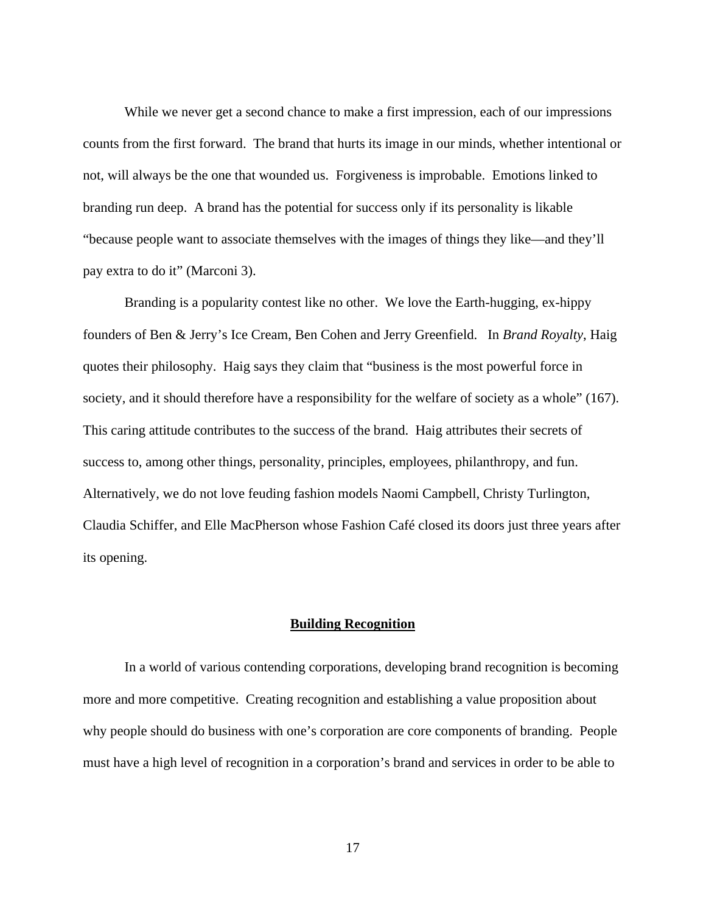While we never get a second chance to make a first impression, each of our impressions counts from the first forward. The brand that hurts its image in our minds, whether intentional or not, will always be the one that wounded us. Forgiveness is improbable. Emotions linked to branding run deep. A brand has the potential for success only if its personality is likable "because people want to associate themselves with the images of things they like—and they'll pay extra to do it" (Marconi 3).

Branding is a popularity contest like no other. We love the Earth-hugging, ex-hippy founders of Ben & Jerry's Ice Cream, Ben Cohen and Jerry Greenfield. In *Brand Royalty*, Haig quotes their philosophy. Haig says they claim that "business is the most powerful force in society, and it should therefore have a responsibility for the welfare of society as a whole" (167). This caring attitude contributes to the success of the brand. Haig attributes their secrets of success to, among other things, personality, principles, employees, philanthropy, and fun. Alternatively, we do not love feuding fashion models Naomi Campbell, Christy Turlington, Claudia Schiffer, and Elle MacPherson whose Fashion Café closed its doors just three years after its opening.

#### <span id="page-25-0"></span>**Building Recognition**

In a world of various contending corporations, developing brand recognition is becoming more and more competitive. Creating recognition and establishing a value proposition about why people should do business with one's corporation are core components of branding. People must have a high level of recognition in a corporation's brand and services in order to be able to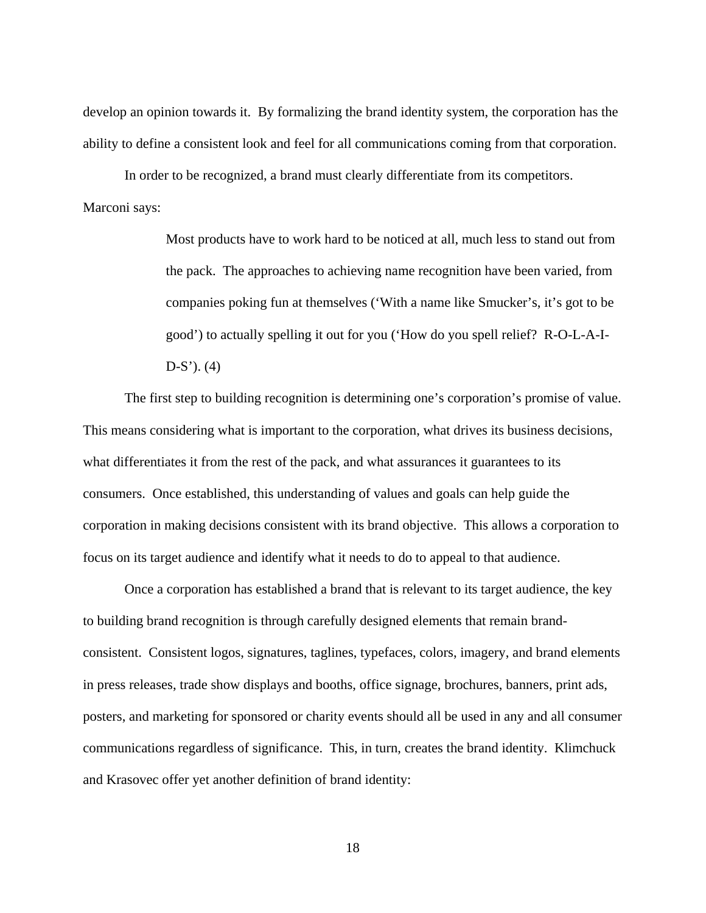develop an opinion towards it. By formalizing the brand identity system, the corporation has the ability to define a consistent look and feel for all communications coming from that corporation.

In order to be recognized, a brand must clearly differentiate from its competitors. Marconi says:

> Most products have to work hard to be noticed at all, much less to stand out from the pack. The approaches to achieving name recognition have been varied, from companies poking fun at themselves ('With a name like Smucker's, it's got to be good') to actually spelling it out for you ('How do you spell relief? R-O-L-A-I- $D-S'$ ). (4)

The first step to building recognition is determining one's corporation's promise of value. This means considering what is important to the corporation, what drives its business decisions, what differentiates it from the rest of the pack, and what assurances it guarantees to its consumers. Once established, this understanding of values and goals can help guide the corporation in making decisions consistent with its brand objective. This allows a corporation to focus on its target audience and identify what it needs to do to appeal to that audience.

Once a corporation has established a brand that is relevant to its target audience, the key to building brand recognition is through carefully designed elements that remain brandconsistent. Consistent logos, signatures, taglines, typefaces, colors, imagery, and brand elements in press releases, trade show displays and booths, office signage, brochures, banners, print ads, posters, and marketing for sponsored or charity events should all be used in any and all consumer communications regardless of significance. This, in turn, creates the brand identity. Klimchuck and Krasovec offer yet another definition of brand identity: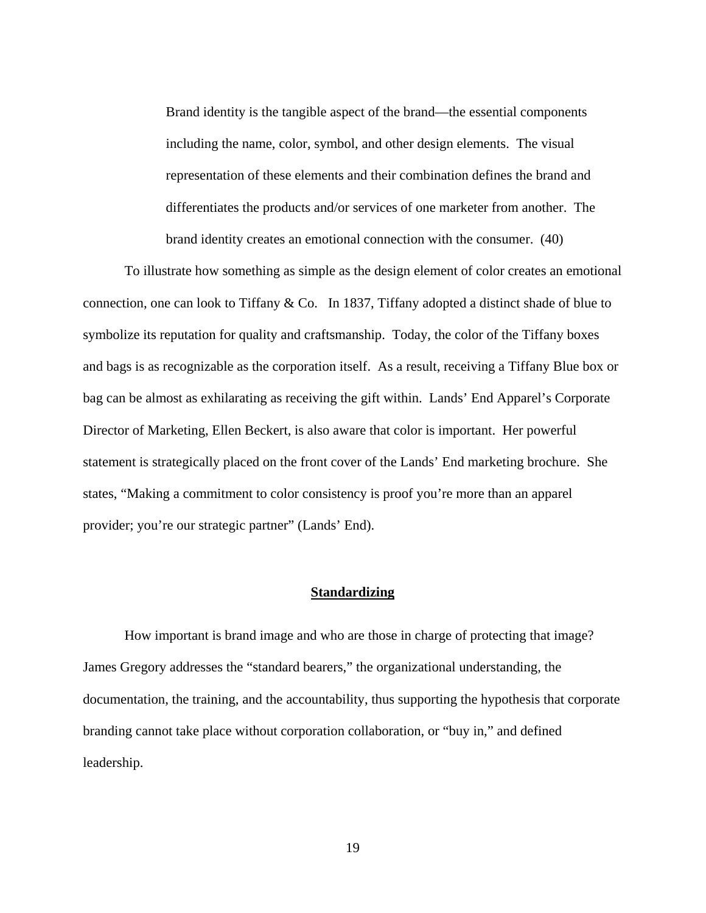Brand identity is the tangible aspect of the brand—the essential components including the name, color, symbol, and other design elements. The visual representation of these elements and their combination defines the brand and differentiates the products and/or services of one marketer from another. The brand identity creates an emotional connection with the consumer. (40)

To illustrate how something as simple as the design element of color creates an emotional connection, one can look to Tiffany & Co. In 1837, Tiffany adopted a distinct shade of blue to symbolize its reputation for quality and craftsmanship. Today, the color of the Tiffany boxes and bags is as recognizable as the corporation itself. As a result, receiving a Tiffany Blue box or bag can be almost as exhilarating as receiving the gift within. Lands' End Apparel's Corporate Director of Marketing, Ellen Beckert, is also aware that color is important. Her powerful statement is strategically placed on the front cover of the Lands' End marketing brochure. She states, "Making a commitment to color consistency is proof you're more than an apparel provider; you're our strategic partner" (Lands' End).

#### <span id="page-27-0"></span>**Standardizing**

How important is brand image and who are those in charge of protecting that image? James Gregory addresses the "standard bearers," the organizational understanding, the documentation, the training, and the accountability, thus supporting the hypothesis that corporate branding cannot take place without corporation collaboration, or "buy in," and defined leadership.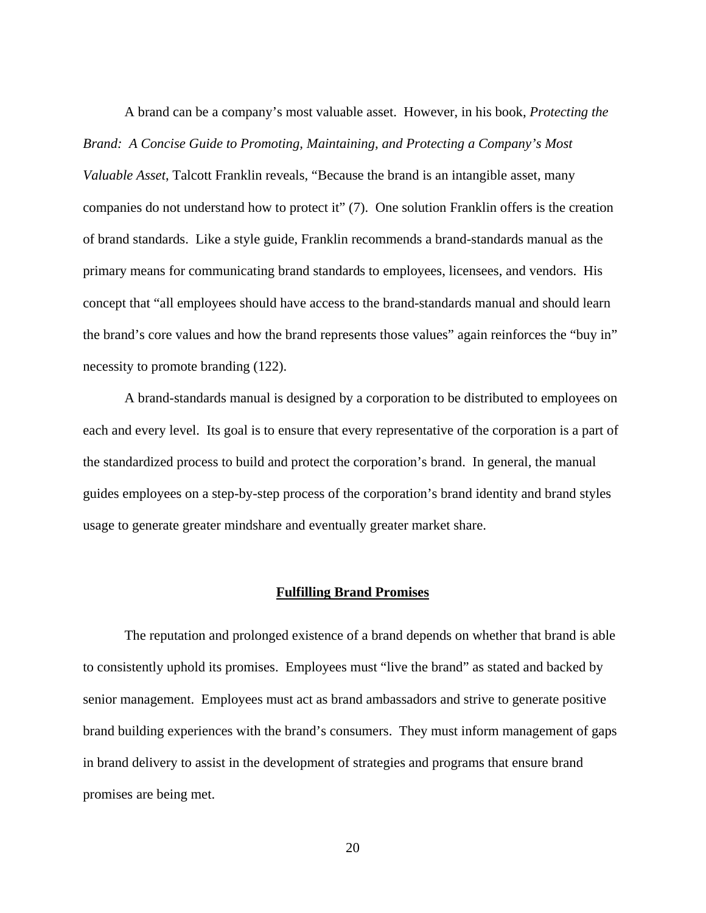A brand can be a company's most valuable asset. However, in his book, *Protecting the Brand: A Concise Guide to Promoting, Maintaining, and Protecting a Company's Most Valuable Asset*, Talcott Franklin reveals, "Because the brand is an intangible asset, many companies do not understand how to protect it" (7). One solution Franklin offers is the creation of brand standards. Like a style guide, Franklin recommends a brand-standards manual as the primary means for communicating brand standards to employees, licensees, and vendors. His concept that "all employees should have access to the brand-standards manual and should learn the brand's core values and how the brand represents those values" again reinforces the "buy in" necessity to promote branding (122).

A brand-standards manual is designed by a corporation to be distributed to employees on each and every level. Its goal is to ensure that every representative of the corporation is a part of the standardized process to build and protect the corporation's brand. In general, the manual guides employees on a step-by-step process of the corporation's brand identity and brand styles usage to generate greater mindshare and eventually greater market share.

# <span id="page-28-0"></span>**Fulfilling Brand Promises**

The reputation and prolonged existence of a brand depends on whether that brand is able to consistently uphold its promises. Employees must "live the brand" as stated and backed by senior management. Employees must act as brand ambassadors and strive to generate positive brand building experiences with the brand's consumers. They must inform management of gaps in brand delivery to assist in the development of strategies and programs that ensure brand promises are being met.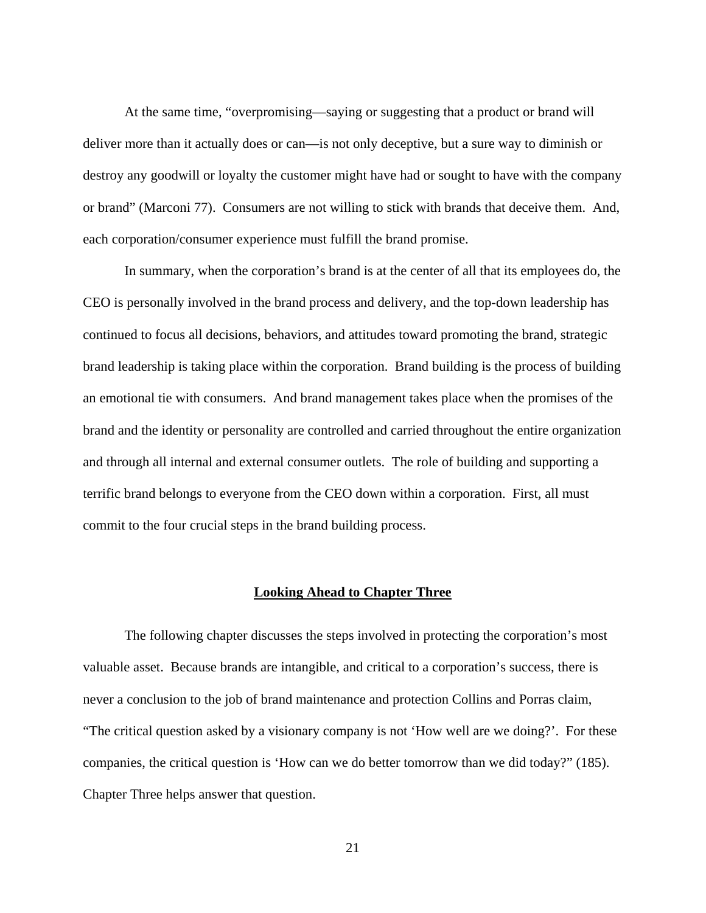At the same time, "overpromising—saying or suggesting that a product or brand will deliver more than it actually does or can—is not only deceptive, but a sure way to diminish or destroy any goodwill or loyalty the customer might have had or sought to have with the company or brand" (Marconi 77). Consumers are not willing to stick with brands that deceive them. And, each corporation/consumer experience must fulfill the brand promise.

In summary, when the corporation's brand is at the center of all that its employees do, the CEO is personally involved in the brand process and delivery, and the top-down leadership has continued to focus all decisions, behaviors, and attitudes toward promoting the brand, strategic brand leadership is taking place within the corporation. Brand building is the process of building an emotional tie with consumers. And brand management takes place when the promises of the brand and the identity or personality are controlled and carried throughout the entire organization and through all internal and external consumer outlets. The role of building and supporting a terrific brand belongs to everyone from the CEO down within a corporation. First, all must commit to the four crucial steps in the brand building process.

#### <span id="page-29-0"></span>**Looking Ahead to Chapter Three**

The following chapter discusses the steps involved in protecting the corporation's most valuable asset. Because brands are intangible, and critical to a corporation's success, there is never a conclusion to the job of brand maintenance and protection Collins and Porras claim, "The critical question asked by a visionary company is not 'How well are we doing?'. For these companies, the critical question is 'How can we do better tomorrow than we did today?" (185). Chapter Three helps answer that question.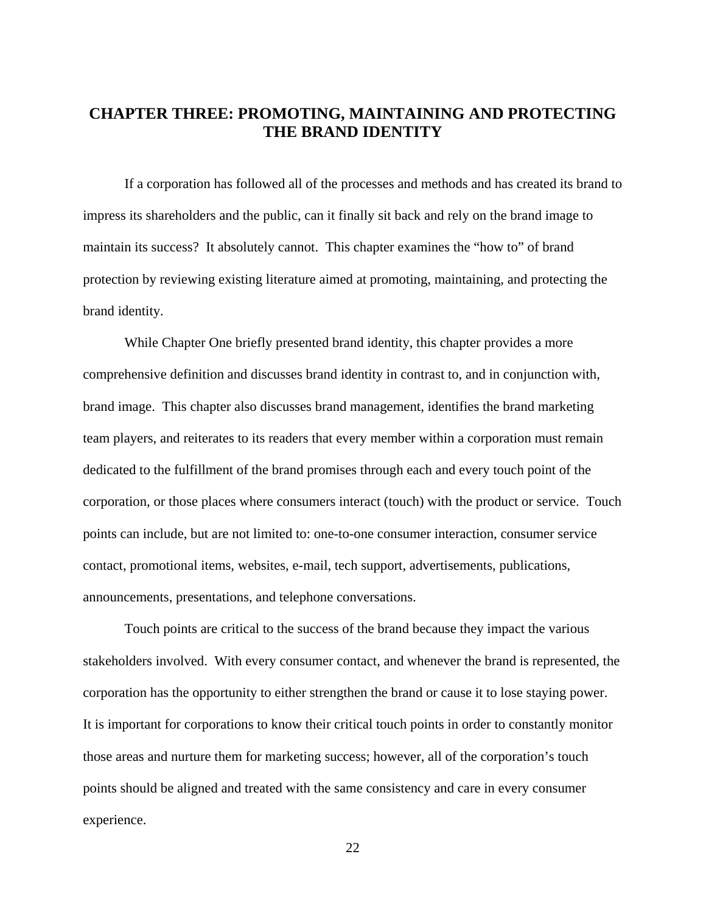# <span id="page-30-0"></span>**CHAPTER THREE: PROMOTING, MAINTAINING AND PROTECTING THE BRAND IDENTITY**

If a corporation has followed all of the processes and methods and has created its brand to impress its shareholders and the public, can it finally sit back and rely on the brand image to maintain its success? It absolutely cannot. This chapter examines the "how to" of brand protection by reviewing existing literature aimed at promoting, maintaining, and protecting the brand identity.

While Chapter One briefly presented brand identity, this chapter provides a more comprehensive definition and discusses brand identity in contrast to, and in conjunction with, brand image. This chapter also discusses brand management, identifies the brand marketing team players, and reiterates to its readers that every member within a corporation must remain dedicated to the fulfillment of the brand promises through each and every touch point of the corporation, or those places where consumers interact (touch) with the product or service. Touch points can include, but are not limited to: one-to-one consumer interaction, consumer service contact, promotional items, websites, e-mail, tech support, advertisements, publications, announcements, presentations, and telephone conversations.

Touch points are critical to the success of the brand because they impact the various stakeholders involved. With every consumer contact, and whenever the brand is represented, the corporation has the opportunity to either strengthen the brand or cause it to lose staying power. It is important for corporations to know their critical touch points in order to constantly monitor those areas and nurture them for marketing success; however, all of the corporation's touch points should be aligned and treated with the same consistency and care in every consumer experience.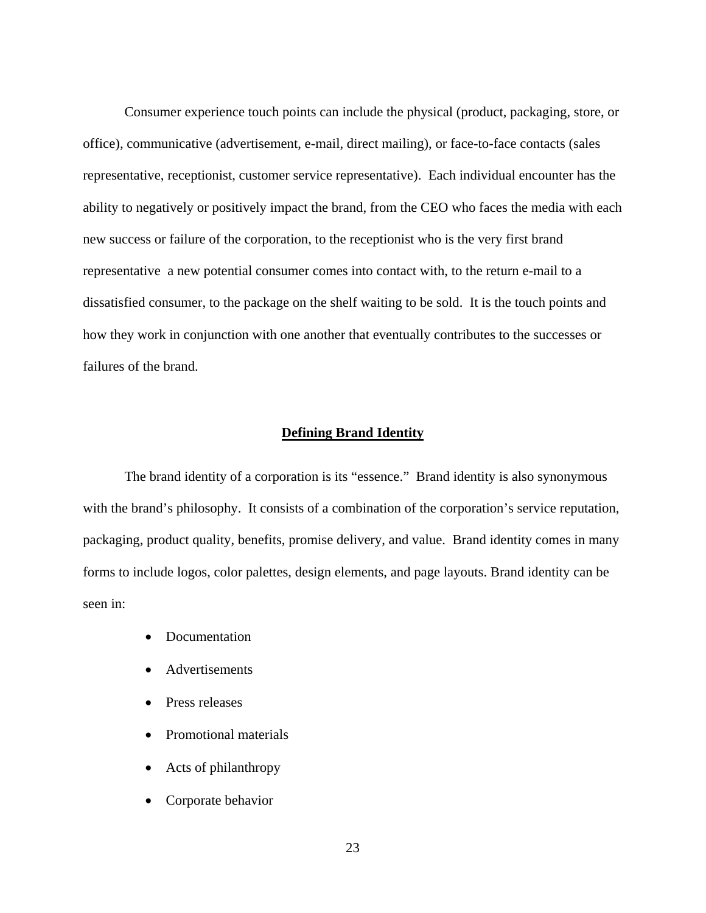Consumer experience touch points can include the physical (product, packaging, store, or office), communicative (advertisement, e-mail, direct mailing), or face-to-face contacts (sales representative, receptionist, customer service representative). Each individual encounter has the ability to negatively or positively impact the brand, from the CEO who faces the media with each new success or failure of the corporation, to the receptionist who is the very first brand representative a new potential consumer comes into contact with, to the return e-mail to a dissatisfied consumer, to the package on the shelf waiting to be sold. It is the touch points and how they work in conjunction with one another that eventually contributes to the successes or failures of the brand.

#### <span id="page-31-0"></span>**Defining Brand Identity**

The brand identity of a corporation is its "essence." Brand identity is also synonymous with the brand's philosophy. It consists of a combination of the corporation's service reputation, packaging, product quality, benefits, promise delivery, and value. Brand identity comes in many forms to include logos, color palettes, design elements, and page layouts. Brand identity can be seen in:

- Documentation
- Advertisements
- Press releases
- Promotional materials
- Acts of philanthropy
- Corporate behavior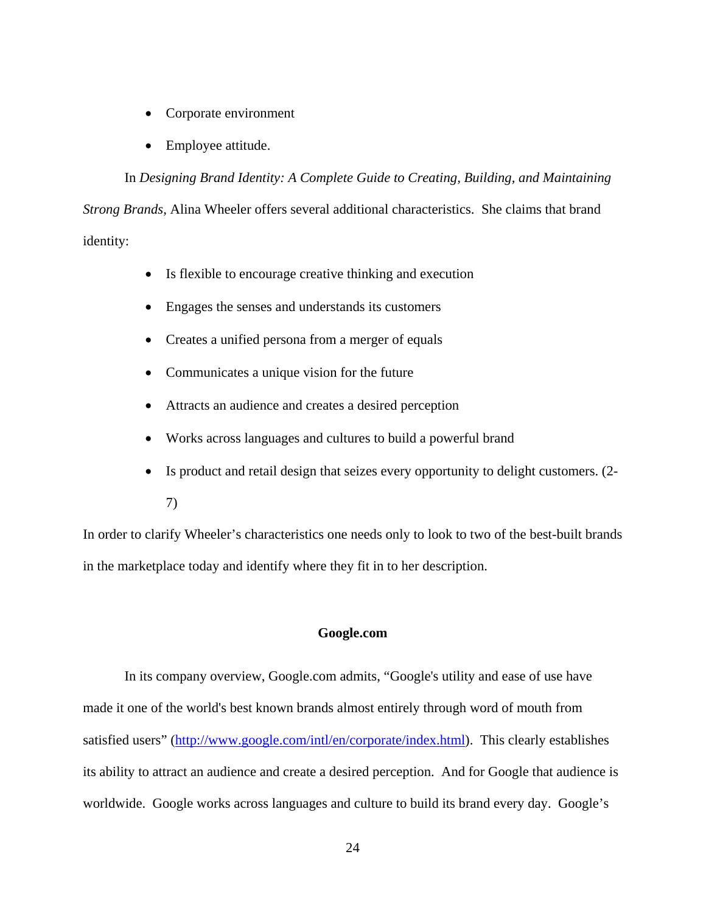- Corporate environment
- Employee attitude.

In *Designing Brand Identity: A Complete Guide to Creating, Building, and Maintaining Strong Brands*, Alina Wheeler offers several additional characteristics. She claims that brand identity:

- Is flexible to encourage creative thinking and execution
- Engages the senses and understands its customers
- Creates a unified persona from a merger of equals
- Communicates a unique vision for the future
- Attracts an audience and creates a desired perception
- Works across languages and cultures to build a powerful brand
- Is product and retail design that seizes every opportunity to delight customers. (2-
	- 7)

In order to clarify Wheeler's characteristics one needs only to look to two of the best-built brands in the marketplace today and identify where they fit in to her description.

#### <span id="page-32-0"></span>**Google.com**

In its company overview, Google.com admits, "Google's utility and ease of use have made it one of the world's best known brands almost entirely through word of mouth from satisfied users" [\(http://www.google.com/intl/en/corporate/index.html\)](http://www.google.com/intl/en/corporate/index.html). This clearly establishes its ability to attract an audience and create a desired perception. And for Google that audience is worldwide. Google works across languages and culture to build its brand every day. Google's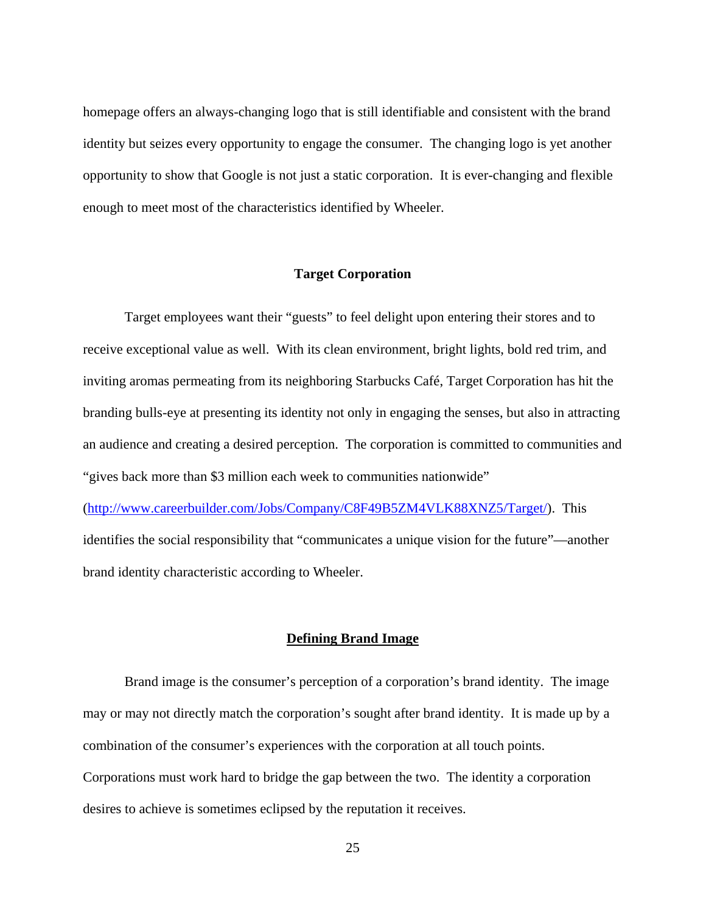homepage offers an always-changing logo that is still identifiable and consistent with the brand identity but seizes every opportunity to engage the consumer. The changing logo is yet another opportunity to show that Google is not just a static corporation. It is ever-changing and flexible enough to meet most of the characteristics identified by Wheeler.

#### <span id="page-33-0"></span>**Target Corporation**

Target employees want their "guests" to feel delight upon entering their stores and to receive exceptional value as well. With its clean environment, bright lights, bold red trim, and inviting aromas permeating from its neighboring Starbucks Café, Target Corporation has hit the branding bulls-eye at presenting its identity not only in engaging the senses, but also in attracting an audience and creating a desired perception. The corporation is committed to communities and "gives back more than \$3 million each week to communities nationwide"

([http://www.careerbuilder.com/Jobs/Company/C8F49B5ZM4VLK88XNZ5/Target/\)](http://www.careerbuilder.com/Jobs/Company/C8F49B5ZM4VLK88XNZ5/Target/?cbsid=a0891a6e656d4699afb81d4da6555ab1-246419235-R5-4&&ns_siteid=ns_us_g_Target_corporation_fl_&cbRecursionCnt=1). This identifies the social responsibility that "communicates a unique vision for the future"—another brand identity characteristic according to Wheeler.

#### <span id="page-33-1"></span>**Defining Brand Image**

Brand image is the consumer's perception of a corporation's brand identity. The image may or may not directly match the corporation's sought after brand identity. It is made up by a combination of the consumer's experiences with the corporation at all touch points. Corporations must work hard to bridge the gap between the two. The identity a corporation desires to achieve is sometimes eclipsed by the reputation it receives.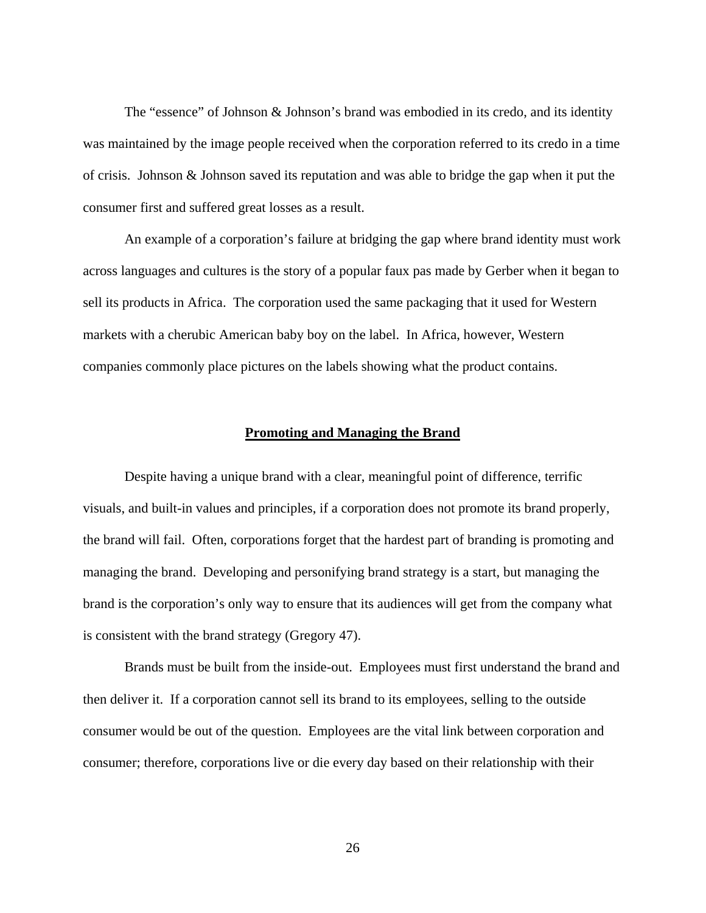The "essence" of Johnson  $\&$  Johnson's brand was embodied in its credo, and its identity was maintained by the image people received when the corporation referred to its credo in a time of crisis. Johnson & Johnson saved its reputation and was able to bridge the gap when it put the consumer first and suffered great losses as a result.

An example of a corporation's failure at bridging the gap where brand identity must work across languages and cultures is the story of a popular faux pas made by Gerber when it began to sell its products in Africa. The corporation used the same packaging that it used for Western markets with a cherubic American baby boy on the label. In Africa, however, Western companies commonly place pictures on the labels showing what the product contains.

#### <span id="page-34-0"></span>**Promoting and Managing the Brand**

Despite having a unique brand with a clear, meaningful point of difference, terrific visuals, and built-in values and principles, if a corporation does not promote its brand properly, the brand will fail. Often, corporations forget that the hardest part of branding is promoting and managing the brand. Developing and personifying brand strategy is a start, but managing the brand is the corporation's only way to ensure that its audiences will get from the company what is consistent with the brand strategy (Gregory 47).

Brands must be built from the inside-out. Employees must first understand the brand and then deliver it. If a corporation cannot sell its brand to its employees, selling to the outside consumer would be out of the question. Employees are the vital link between corporation and consumer; therefore, corporations live or die every day based on their relationship with their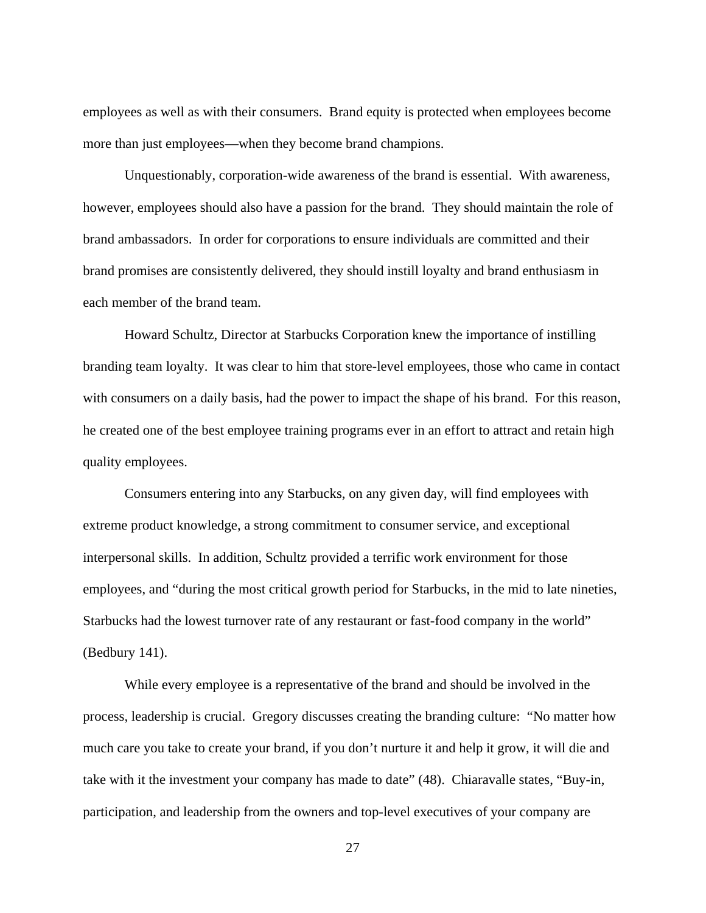employees as well as with their consumers. Brand equity is protected when employees become more than just employees—when they become brand champions.

Unquestionably, corporation-wide awareness of the brand is essential. With awareness, however, employees should also have a passion for the brand. They should maintain the role of brand ambassadors. In order for corporations to ensure individuals are committed and their brand promises are consistently delivered, they should instill loyalty and brand enthusiasm in each member of the brand team.

Howard Schultz, Director at Starbucks Corporation knew the importance of instilling branding team loyalty. It was clear to him that store-level employees, those who came in contact with consumers on a daily basis, had the power to impact the shape of his brand. For this reason, he created one of the best employee training programs ever in an effort to attract and retain high quality employees.

Consumers entering into any Starbucks, on any given day, will find employees with extreme product knowledge, a strong commitment to consumer service, and exceptional interpersonal skills. In addition, Schultz provided a terrific work environment for those employees, and "during the most critical growth period for Starbucks, in the mid to late nineties, Starbucks had the lowest turnover rate of any restaurant or fast-food company in the world" (Bedbury 141).

While every employee is a representative of the brand and should be involved in the process, leadership is crucial. Gregory discusses creating the branding culture: "No matter how much care you take to create your brand, if you don't nurture it and help it grow, it will die and take with it the investment your company has made to date" (48). Chiaravalle states, "Buy-in, participation, and leadership from the owners and top-level executives of your company are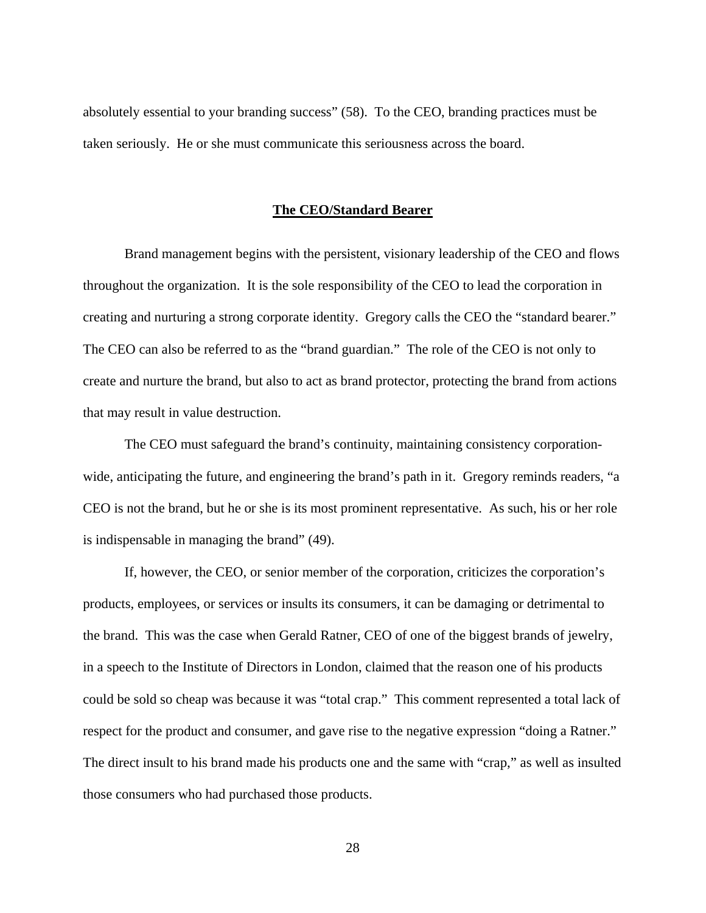absolutely essential to your branding success" (58). To the CEO, branding practices must be taken seriously. He or she must communicate this seriousness across the board.

#### <span id="page-36-0"></span>**The CEO/Standard Bearer**

Brand management begins with the persistent, visionary leadership of the CEO and flows throughout the organization. It is the sole responsibility of the CEO to lead the corporation in creating and nurturing a strong corporate identity. Gregory calls the CEO the "standard bearer." The CEO can also be referred to as the "brand guardian." The role of the CEO is not only to create and nurture the brand, but also to act as brand protector, protecting the brand from actions that may result in value destruction.

The CEO must safeguard the brand's continuity, maintaining consistency corporationwide, anticipating the future, and engineering the brand's path in it. Gregory reminds readers, "a CEO is not the brand, but he or she is its most prominent representative. As such, his or her role is indispensable in managing the brand" (49).

If, however, the CEO, or senior member of the corporation, criticizes the corporation's products, employees, or services or insults its consumers, it can be damaging or detrimental to the brand. This was the case when Gerald Ratner, CEO of one of the biggest brands of jewelry, in a speech to the Institute of Directors in London, claimed that the reason one of his products could be sold so cheap was because it was "total crap." This comment represented a total lack of respect for the product and consumer, and gave rise to the negative expression "doing a Ratner." The direct insult to his brand made his products one and the same with "crap," as well as insulted those consumers who had purchased those products.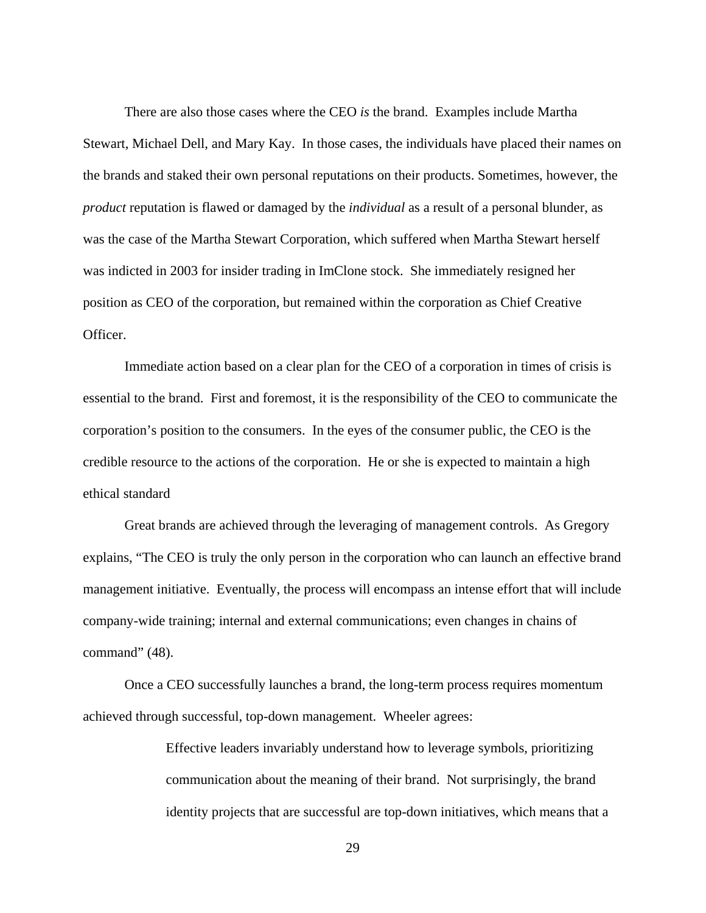There are also those cases where the CEO *is* the brand. Examples include Martha Stewart, Michael Dell, and Mary Kay. In those cases, the individuals have placed their names on the brands and staked their own personal reputations on their products. Sometimes, however, the *product* reputation is flawed or damaged by the *individual* as a result of a personal blunder, as was the case of the Martha Stewart Corporation, which suffered when Martha Stewart herself was indicted in 2003 for insider trading in ImClone stock. She immediately resigned her position as CEO of the corporation, but remained within the corporation as Chief Creative Officer.

Immediate action based on a clear plan for the CEO of a corporation in times of crisis is essential to the brand. First and foremost, it is the responsibility of the CEO to communicate the corporation's position to the consumers. In the eyes of the consumer public, the CEO is the credible resource to the actions of the corporation. He or she is expected to maintain a high ethical standard

Great brands are achieved through the leveraging of management controls. As Gregory explains, "The CEO is truly the only person in the corporation who can launch an effective brand management initiative. Eventually, the process will encompass an intense effort that will include company-wide training; internal and external communications; even changes in chains of command" (48).

Once a CEO successfully launches a brand, the long-term process requires momentum achieved through successful, top-down management. Wheeler agrees:

> Effective leaders invariably understand how to leverage symbols, prioritizing communication about the meaning of their brand. Not surprisingly, the brand identity projects that are successful are top-down initiatives, which means that a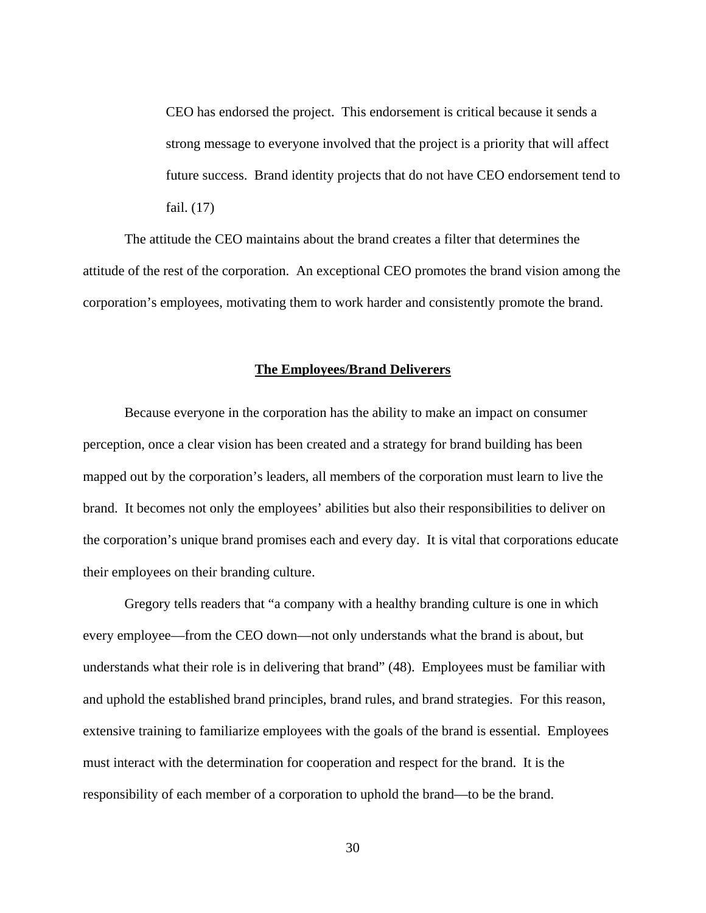CEO has endorsed the project. This endorsement is critical because it sends a strong message to everyone involved that the project is a priority that will affect future success. Brand identity projects that do not have CEO endorsement tend to fail. (17)

The attitude the CEO maintains about the brand creates a filter that determines the attitude of the rest of the corporation. An exceptional CEO promotes the brand vision among the corporation's employees, motivating them to work harder and consistently promote the brand.

#### <span id="page-38-0"></span>**The Employees/Brand Deliverers**

Because everyone in the corporation has the ability to make an impact on consumer perception, once a clear vision has been created and a strategy for brand building has been mapped out by the corporation's leaders, all members of the corporation must learn to live the brand. It becomes not only the employees' abilities but also their responsibilities to deliver on the corporation's unique brand promises each and every day. It is vital that corporations educate their employees on their branding culture.

Gregory tells readers that "a company with a healthy branding culture is one in which every employee—from the CEO down—not only understands what the brand is about, but understands what their role is in delivering that brand" (48). Employees must be familiar with and uphold the established brand principles, brand rules, and brand strategies. For this reason, extensive training to familiarize employees with the goals of the brand is essential. Employees must interact with the determination for cooperation and respect for the brand. It is the responsibility of each member of a corporation to uphold the brand—to be the brand.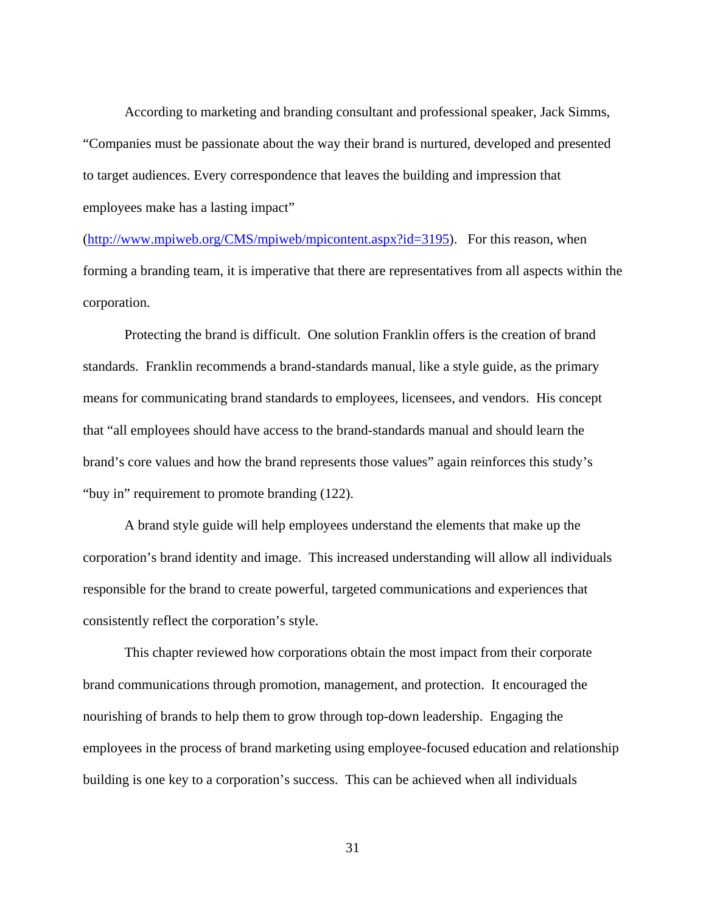According to marketing and branding consultant and professional speaker, Jack Simms, "Companies must be passionate about the way their brand is nurtured, developed and presented to target audiences. Every correspondence that leaves the building and impression that employees make has a lasting impact"

(http://www.mpiweb.org/CMS/mpiweb/mpicontent.aspx?id=3195). For this reason, when forming a branding team, it is imperative that there are representatives from all aspects within the corporation.

Protecting the brand is difficult. One solution Franklin offers is the creation of brand standards. Franklin recommends a brand-standards manual, like a style guide, as the primary means for communicating brand standards to employees, licensees, and vendors. His concept that "all employees should have access to the brand-standards manual and should learn the brand's core values and how the brand represents those values" again reinforces this study's "buy in" requirement to promote branding (122).

A brand style guide will help employees understand the elements that make up the corporation's brand identity and image. This increased understanding will allow all individuals responsible for the brand to create powerful, targeted communications and experiences that consistently reflect the corporation's style.

This chapter reviewed how corporations obtain the most impact from their corporate brand communications through promotion, management, and protection. It encouraged the nourishing of brands to help them to grow through top-down leadership. Engaging the employees in the process of brand marketing using employee-focused education and relationship building is one key to a corporation's success. This can be achieved when all individuals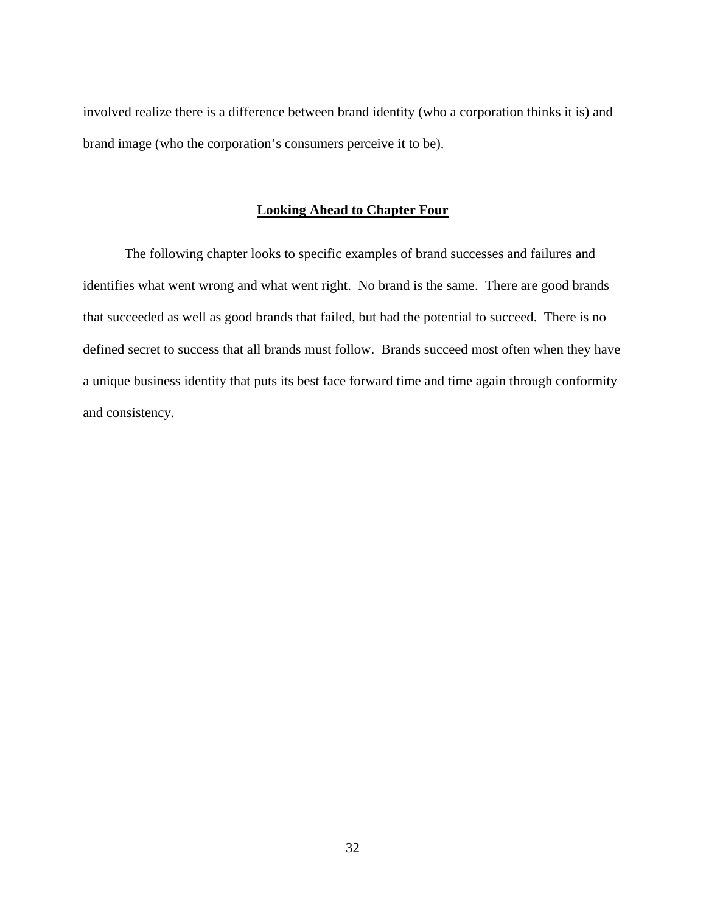involved realize there is a difference between brand identity (who a corporation thinks it is) and brand image (who the corporation's consumers perceive it to be).

# <span id="page-40-0"></span>**Looking Ahead to Chapter Four**

The following chapter looks to specific examples of brand successes and failures and identifies what went wrong and what went right. No brand is the same. There are good brands that succeeded as well as good brands that failed, but had the potential to succeed. There is no defined secret to success that all brands must follow. Brands succeed most often when they have a unique business identity that puts its best face forward time and time again through conformity and consistency.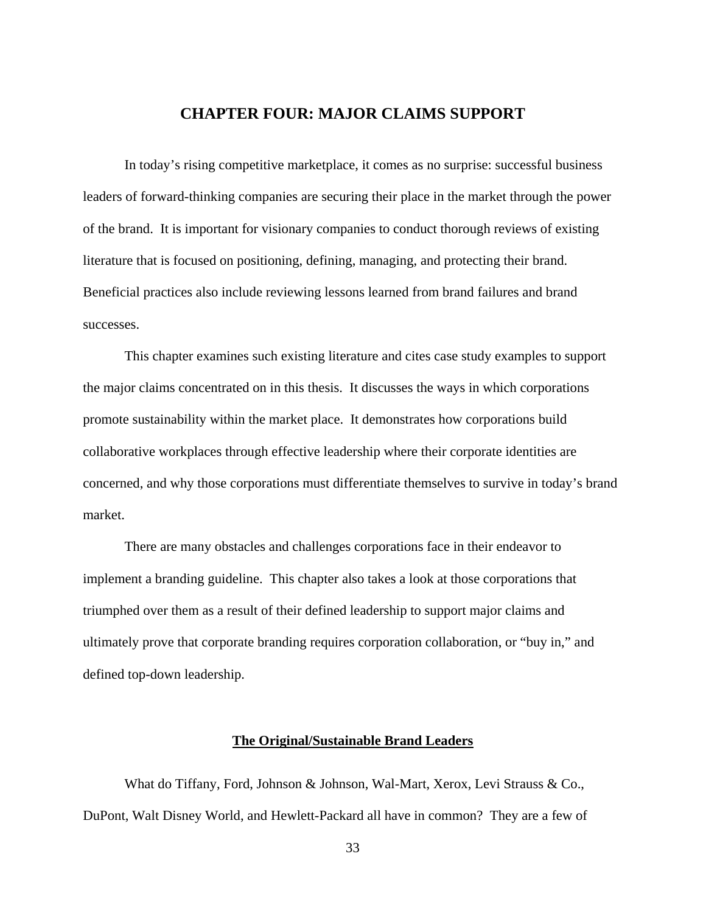### <span id="page-41-0"></span>**CHAPTER FOUR: MAJOR CLAIMS SUPPORT**

In today's rising competitive marketplace, it comes as no surprise: successful business leaders of forward-thinking companies are securing their place in the market through the power of the brand. It is important for visionary companies to conduct thorough reviews of existing literature that is focused on positioning, defining, managing, and protecting their brand. Beneficial practices also include reviewing lessons learned from brand failures and brand successes.

This chapter examines such existing literature and cites case study examples to support the major claims concentrated on in this thesis. It discusses the ways in which corporations promote sustainability within the market place. It demonstrates how corporations build collaborative workplaces through effective leadership where their corporate identities are concerned, and why those corporations must differentiate themselves to survive in today's brand market.

There are many obstacles and challenges corporations face in their endeavor to implement a branding guideline. This chapter also takes a look at those corporations that triumphed over them as a result of their defined leadership to support major claims and ultimately prove that corporate branding requires corporation collaboration, or "buy in," and defined top-down leadership.

#### <span id="page-41-1"></span>**The Original/Sustainable Brand Leaders**

What do Tiffany, Ford, Johnson & Johnson, Wal-Mart, Xerox, Levi Strauss & Co., DuPont, Walt Disney World, and Hewlett-Packard all have in common? They are a few of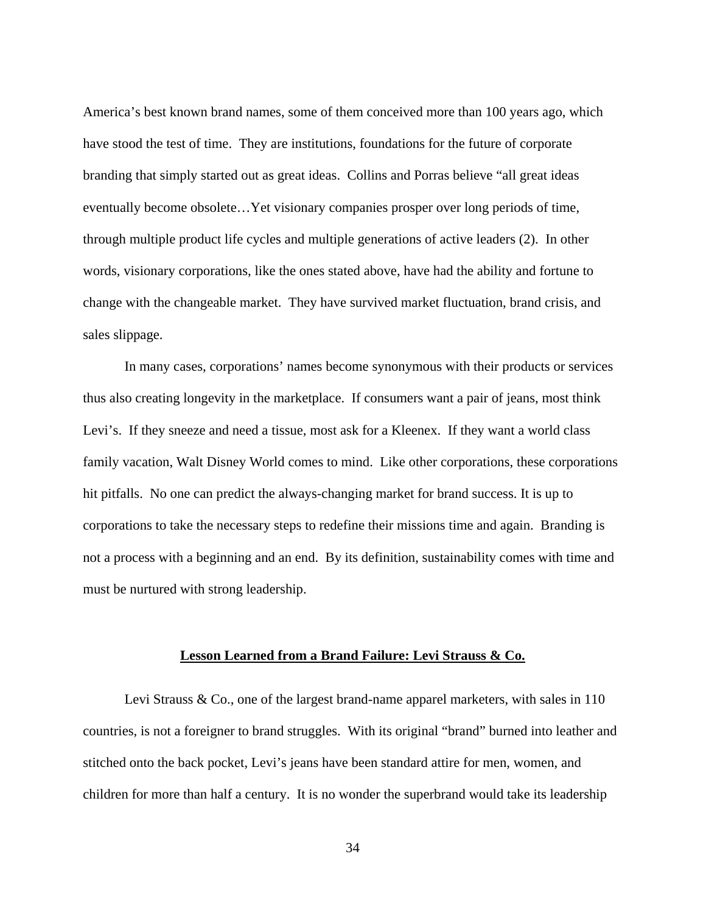America's best known brand names, some of them conceived more than 100 years ago, which have stood the test of time. They are institutions, foundations for the future of corporate branding that simply started out as great ideas. Collins and Porras believe "all great ideas eventually become obsolete…Yet visionary companies prosper over long periods of time, through multiple product life cycles and multiple generations of active leaders (2). In other words, visionary corporations, like the ones stated above, have had the ability and fortune to change with the changeable market. They have survived market fluctuation, brand crisis, and sales slippage.

In many cases, corporations' names become synonymous with their products or services thus also creating longevity in the marketplace. If consumers want a pair of jeans, most think Levi's. If they sneeze and need a tissue, most ask for a Kleenex. If they want a world class family vacation, Walt Disney World comes to mind. Like other corporations, these corporations hit pitfalls. No one can predict the always-changing market for brand success. It is up to corporations to take the necessary steps to redefine their missions time and again. Branding is not a process with a beginning and an end. By its definition, sustainability comes with time and must be nurtured with strong leadership.

#### <span id="page-42-0"></span>**Lesson Learned from a Brand Failure: Levi Strauss & Co.**

Levi Strauss & Co., one of the largest brand-name apparel marketers, with sales in 110 countries, is not a foreigner to brand struggles. With its original "brand" burned into leather and stitched onto the back pocket, Levi's jeans have been standard attire for men, women, and children for more than half a century. It is no wonder the superbrand would take its leadership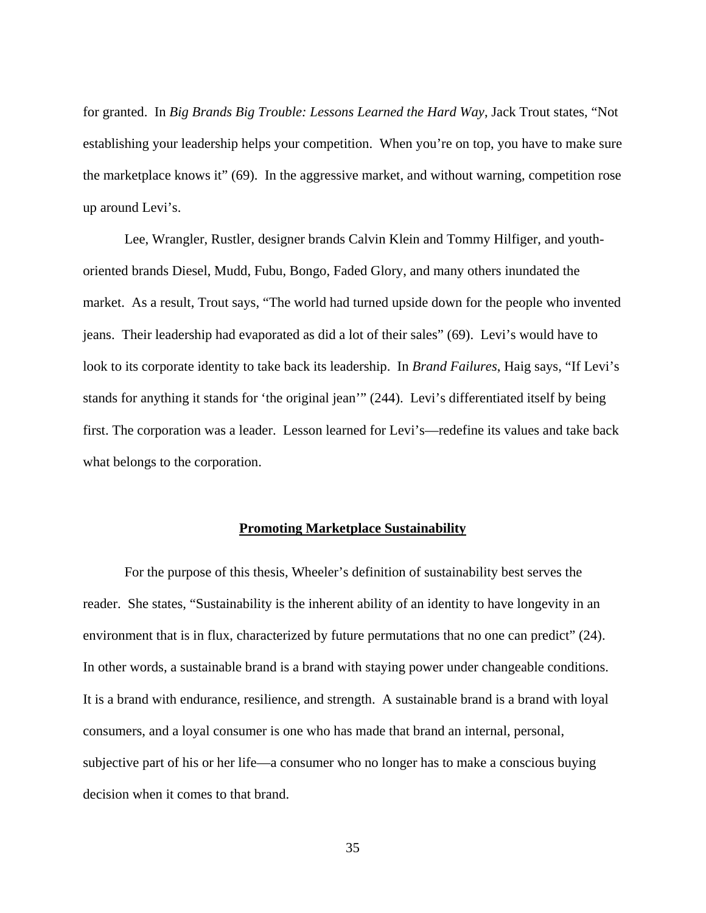for granted. In *Big Brands Big Trouble: Lessons Learned the Hard Way*, Jack Trout states, "Not establishing your leadership helps your competition. When you're on top, you have to make sure the marketplace knows it" (69). In the aggressive market, and without warning, competition rose up around Levi's.

Lee, Wrangler, Rustler, designer brands Calvin Klein and Tommy Hilfiger, and youthoriented brands Diesel, Mudd, Fubu, Bongo, Faded Glory, and many others inundated the market. As a result, Trout says, "The world had turned upside down for the people who invented jeans. Their leadership had evaporated as did a lot of their sales" (69). Levi's would have to look to its corporate identity to take back its leadership. In *Brand Failures*, Haig says, "If Levi's stands for anything it stands for 'the original jean'" (244). Levi's differentiated itself by being first. The corporation was a leader. Lesson learned for Levi's—redefine its values and take back what belongs to the corporation.

#### <span id="page-43-0"></span>**Promoting Marketplace Sustainability**

For the purpose of this thesis, Wheeler's definition of sustainability best serves the reader. She states, "Sustainability is the inherent ability of an identity to have longevity in an environment that is in flux, characterized by future permutations that no one can predict" (24). In other words, a sustainable brand is a brand with staying power under changeable conditions. It is a brand with endurance, resilience, and strength. A sustainable brand is a brand with loyal consumers, and a loyal consumer is one who has made that brand an internal, personal, subjective part of his or her life—a consumer who no longer has to make a conscious buying decision when it comes to that brand.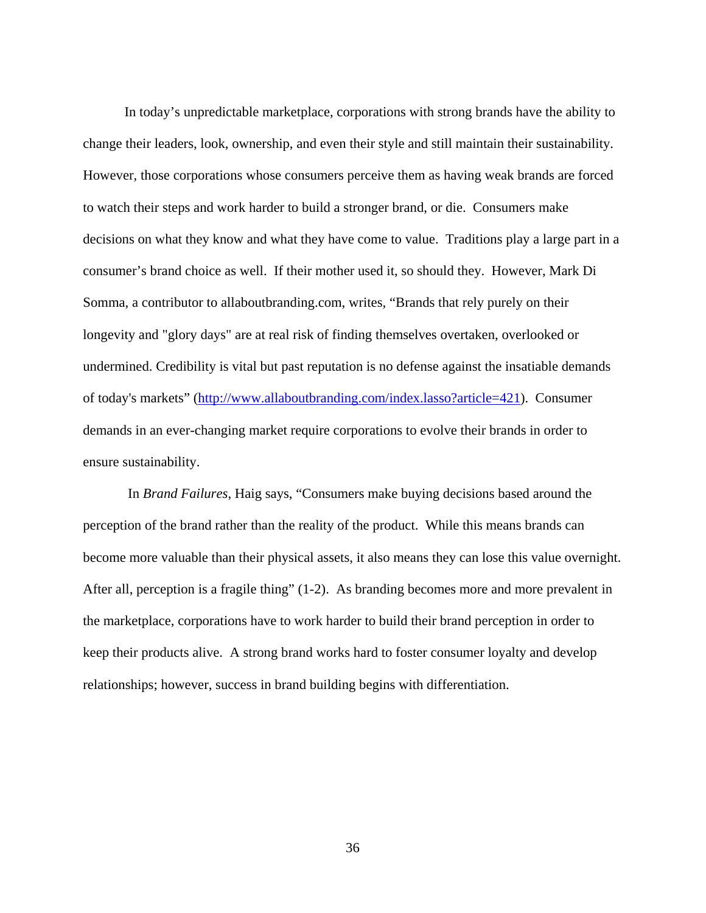In today's unpredictable marketplace, corporations with strong brands have the ability to change their leaders, look, ownership, and even their style and still maintain their sustainability. However, those corporations whose consumers perceive them as having weak brands are forced to watch their steps and work harder to build a stronger brand, or die. Consumers make decisions on what they know and what they have come to value. Traditions play a large part in a consumer's brand choice as well. If their mother used it, so should they. However, Mark Di Somma, a contributor to allaboutbranding.com, writes, "Brands that rely purely on their longevity and "glory days" are at real risk of finding themselves overtaken, overlooked or undermined. Credibility is vital but past reputation is no defense against the insatiable demands of today's markets" ([http://www.allaboutbranding.com/index.lasso?article=421\)](http://www.allaboutbranding.com/index.lasso?article=421). Consumer demands in an ever-changing market require corporations to evolve their brands in order to ensure sustainability.

 In *Brand Failures*, Haig says, "Consumers make buying decisions based around the perception of the brand rather than the reality of the product. While this means brands can become more valuable than their physical assets, it also means they can lose this value overnight. After all, perception is a fragile thing" (1-2). As branding becomes more and more prevalent in the marketplace, corporations have to work harder to build their brand perception in order to keep their products alive. A strong brand works hard to foster consumer loyalty and develop relationships; however, success in brand building begins with differentiation.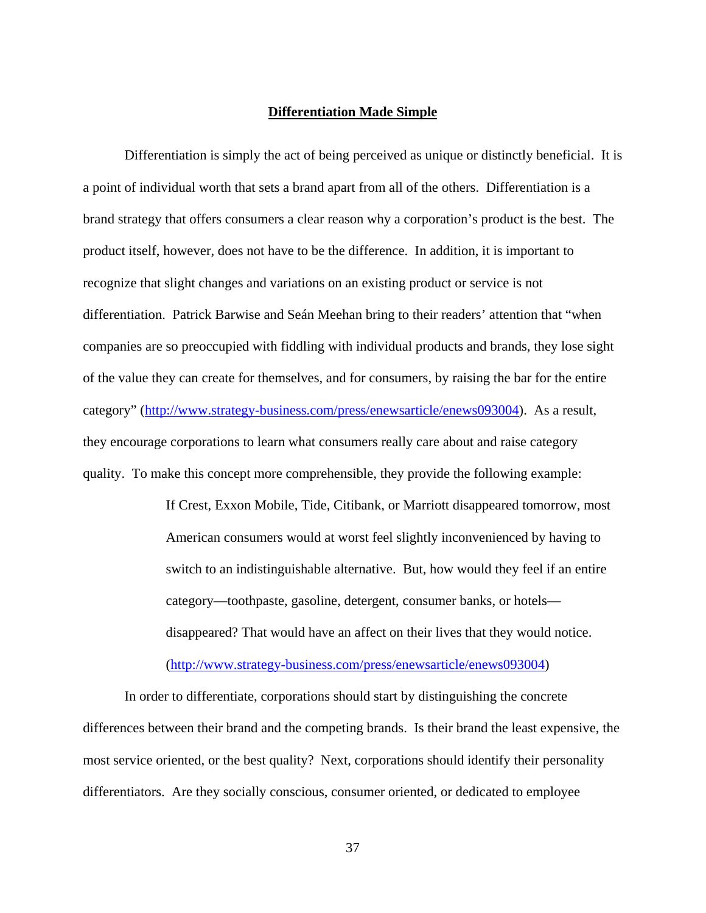#### <span id="page-45-0"></span>**Differentiation Made Simple**

Differentiation is simply the act of being perceived as unique or distinctly beneficial. It is a point of individual worth that sets a brand apart from all of the others. Differentiation is a brand strategy that offers consumers a clear reason why a corporation's product is the best. The product itself, however, does not have to be the difference. In addition, it is important to recognize that slight changes and variations on an existing product or service is not differentiation. Patrick Barwise and Seán Meehan bring to their readers' attention that "when companies are so preoccupied with fiddling with individual products and brands, they lose sight of the value they can create for themselves, and for consumers, by raising the bar for the entire category" ([http://www.strategy-business.com/press/enewsarticle/enews093004\)](http://www.strategy-business.com/press/enewsarticle/enews093004). As a result, they encourage corporations to learn what consumers really care about and raise category quality. To make this concept more comprehensible, they provide the following example:

> If Crest, Exxon Mobile, Tide, Citibank, or Marriott disappeared tomorrow, most American consumers would at worst feel slightly inconvenienced by having to switch to an indistinguishable alternative. But, how would they feel if an entire category—toothpaste, gasoline, detergent, consumer banks, or hotels disappeared? That would have an affect on their lives that they would notice. ([http://www.strategy-business.com/press/enewsarticle/enews093004\)](http://www.strategy-business.com/press/enewsarticle/enews093004)

In order to differentiate, corporations should start by distinguishing the concrete differences between their brand and the competing brands. Is their brand the least expensive, the most service oriented, or the best quality? Next, corporations should identify their personality differentiators. Are they socially conscious, consumer oriented, or dedicated to employee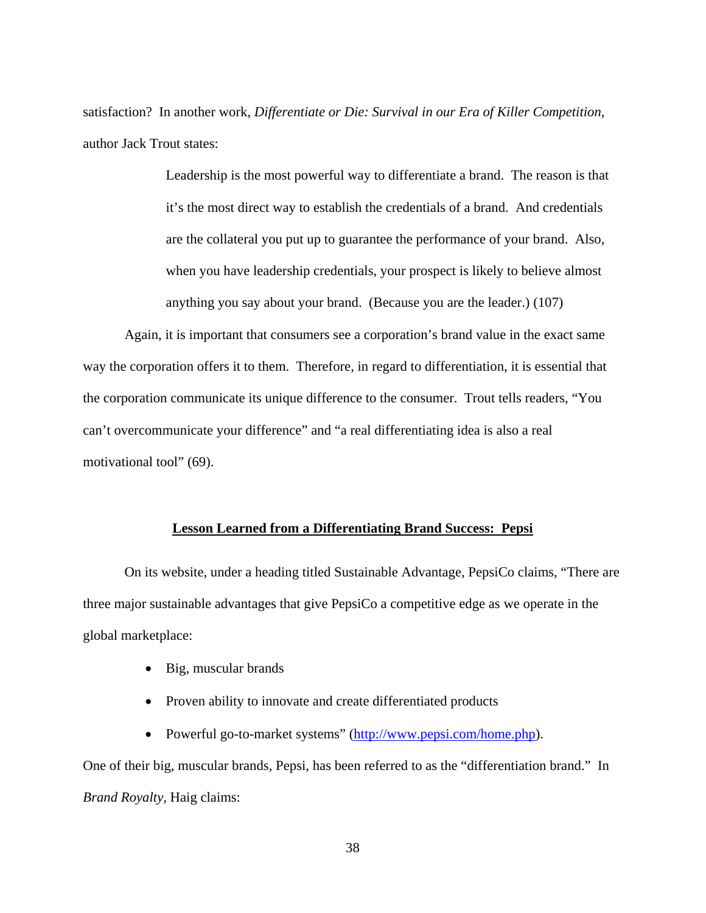satisfaction? In another work, *Differentiate or Die: Survival in our Era of Killer Competition*, author Jack Trout states:

> Leadership is the most powerful way to differentiate a brand. The reason is that it's the most direct way to establish the credentials of a brand. And credentials are the collateral you put up to guarantee the performance of your brand. Also, when you have leadership credentials, your prospect is likely to believe almost anything you say about your brand. (Because you are the leader.) (107)

Again, it is important that consumers see a corporation's brand value in the exact same way the corporation offers it to them. Therefore, in regard to differentiation, it is essential that the corporation communicate its unique difference to the consumer. Trout tells readers, "You can't overcommunicate your difference" and "a real differentiating idea is also a real motivational tool" (69).

#### <span id="page-46-0"></span>**Lesson Learned from a Differentiating Brand Success: Pepsi**

On its website, under a heading titled Sustainable Advantage, PepsiCo claims, "There are three major sustainable advantages that give PepsiCo a competitive edge as we operate in the global marketplace:

- Big, muscular brands
- Proven ability to innovate and create differentiated products
- Powerful go-to-market systems" (http://www.pepsi.com/home.php).

One of their big, muscular brands, Pepsi, has been referred to as the "differentiation brand." In *Brand Royalty,* Haig claims: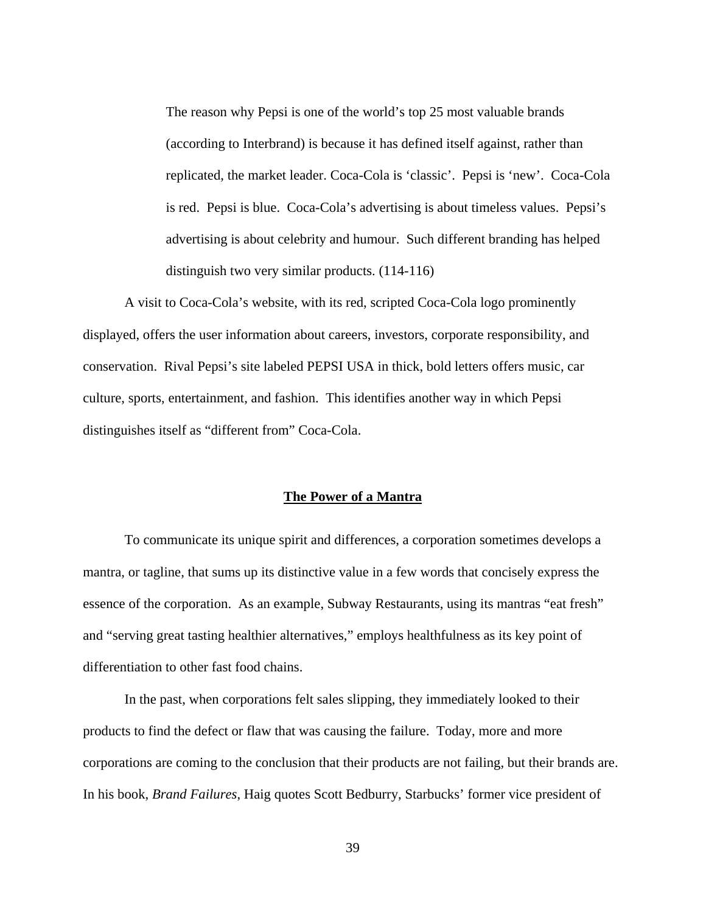The reason why Pepsi is one of the world's top 25 most valuable brands (according to Interbrand) is because it has defined itself against, rather than replicated, the market leader. Coca-Cola is 'classic'. Pepsi is 'new'. Coca-Cola is red. Pepsi is blue. Coca-Cola's advertising is about timeless values. Pepsi's advertising is about celebrity and humour. Such different branding has helped distinguish two very similar products. (114-116)

A visit to Coca-Cola's website, with its red, scripted Coca-Cola logo prominently displayed, offers the user information about careers, investors, corporate responsibility, and conservation. Rival Pepsi's site labeled PEPSI USA in thick, bold letters offers music, car culture, sports, entertainment, and fashion. This identifies another way in which Pepsi distinguishes itself as "different from" Coca-Cola.

#### <span id="page-47-0"></span>**The Power of a Mantra**

To communicate its unique spirit and differences, a corporation sometimes develops a mantra, or tagline, that sums up its distinctive value in a few words that concisely express the essence of the corporation. As an example, Subway Restaurants, using its mantras "eat fresh" and "serving great tasting healthier alternatives," employs healthfulness as its key point of differentiation to other fast food chains.

In the past, when corporations felt sales slipping, they immediately looked to their products to find the defect or flaw that was causing the failure. Today, more and more corporations are coming to the conclusion that their products are not failing, but their brands are. In his book, *Brand Failures*, Haig quotes Scott Bedburry, Starbucks' former vice president of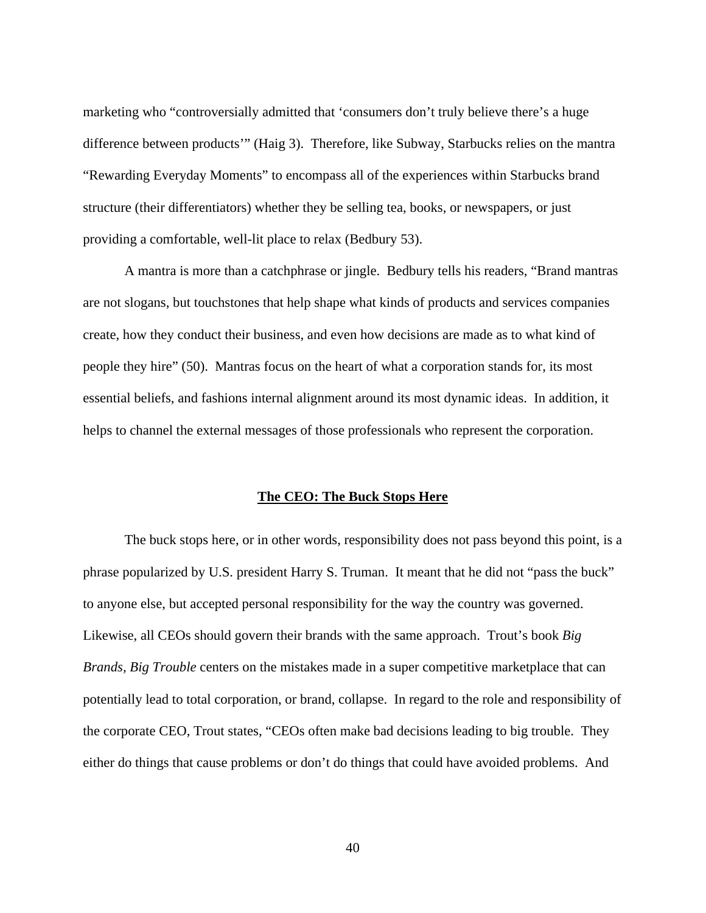marketing who "controversially admitted that 'consumers don't truly believe there's a huge difference between products'" (Haig 3). Therefore, like Subway, Starbucks relies on the mantra "Rewarding Everyday Moments" to encompass all of the experiences within Starbucks brand structure (their differentiators) whether they be selling tea, books, or newspapers, or just providing a comfortable, well-lit place to relax (Bedbury 53).

A mantra is more than a catchphrase or jingle. Bedbury tells his readers, "Brand mantras are not slogans, but touchstones that help shape what kinds of products and services companies create, how they conduct their business, and even how decisions are made as to what kind of people they hire" (50). Mantras focus on the heart of what a corporation stands for, its most essential beliefs, and fashions internal alignment around its most dynamic ideas. In addition, it helps to channel the external messages of those professionals who represent the corporation.

#### <span id="page-48-0"></span>**The CEO: The Buck Stops Here**

The buck stops here, or in other words, responsibility does not pass beyond this point, is a phrase popularized by U.S. president Harry S. Truman. It meant that he did not "pass the buck" to anyone else, but accepted personal responsibility for the way the country was governed. Likewise, all CEOs should govern their brands with the same approach. Trout's book *Big Brands, Big Trouble* centers on the mistakes made in a super competitive marketplace that can potentially lead to total corporation, or brand, collapse. In regard to the role and responsibility of the corporate CEO, Trout states, "CEOs often make bad decisions leading to big trouble. They either do things that cause problems or don't do things that could have avoided problems. And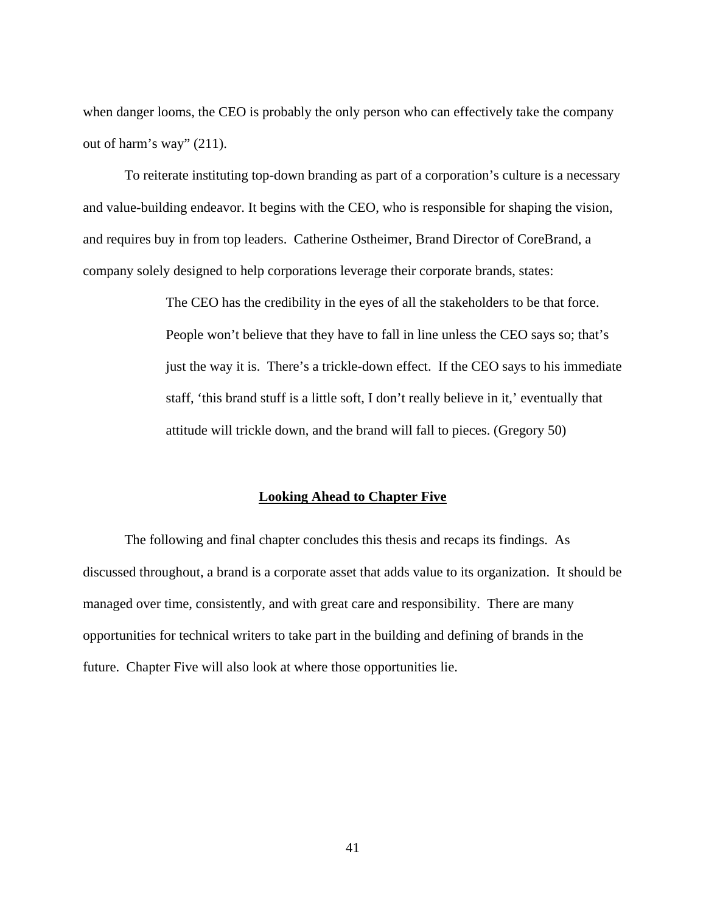when danger looms, the CEO is probably the only person who can effectively take the company out of harm's way" (211).

To reiterate instituting top-down branding as part of a corporation's culture is a necessary and value-building endeavor. It begins with the CEO, who is responsible for shaping the vision, and requires buy in from top leaders. Catherine Ostheimer, Brand Director of CoreBrand, a company solely designed to help corporations leverage their corporate brands, states:

> The CEO has the credibility in the eyes of all the stakeholders to be that force. People won't believe that they have to fall in line unless the CEO says so; that's just the way it is. There's a trickle-down effect. If the CEO says to his immediate staff, 'this brand stuff is a little soft, I don't really believe in it,' eventually that attitude will trickle down, and the brand will fall to pieces. (Gregory 50)

#### <span id="page-49-0"></span>**Looking Ahead to Chapter Five**

The following and final chapter concludes this thesis and recaps its findings. As discussed throughout, a brand is a corporate asset that adds value to its organization. It should be managed over time, consistently, and with great care and responsibility. There are many opportunities for technical writers to take part in the building and defining of brands in the future. Chapter Five will also look at where those opportunities lie.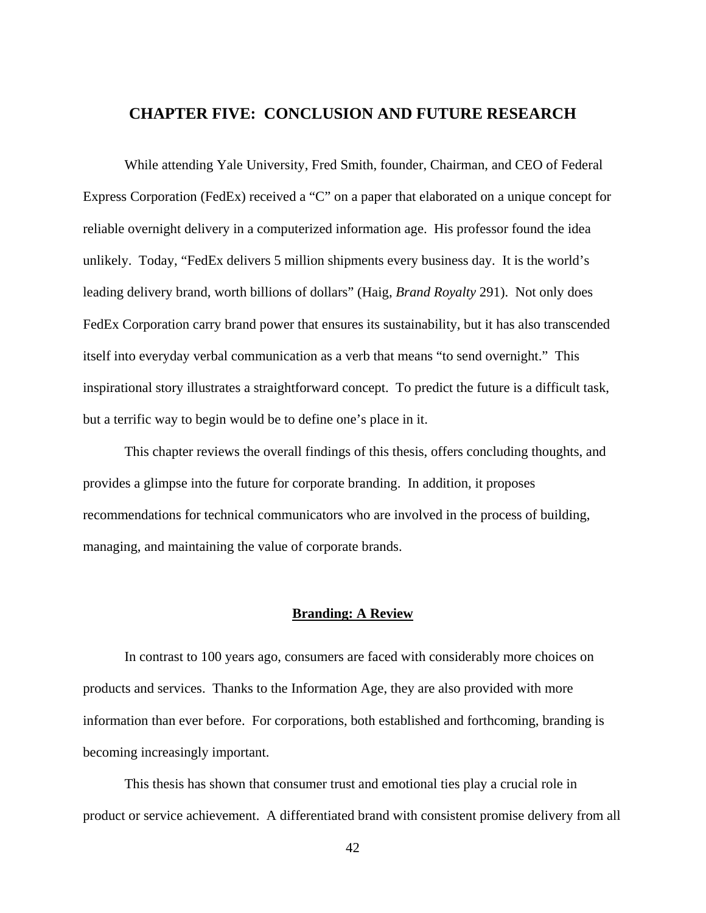## <span id="page-50-0"></span>**CHAPTER FIVE: CONCLUSION AND FUTURE RESEARCH**

While attending Yale University, Fred Smith, founder, Chairman, and CEO of Federal Express Corporation (FedEx) received a "C" on a paper that elaborated on a unique concept for reliable overnight delivery in a computerized information age. His professor found the idea unlikely. Today, "FedEx delivers 5 million shipments every business day. It is the world's leading delivery brand, worth billions of dollars" (Haig, *Brand Royalty* 291). Not only does FedEx Corporation carry brand power that ensures its sustainability, but it has also transcended itself into everyday verbal communication as a verb that means "to send overnight." This inspirational story illustrates a straightforward concept. To predict the future is a difficult task, but a terrific way to begin would be to define one's place in it.

This chapter reviews the overall findings of this thesis, offers concluding thoughts, and provides a glimpse into the future for corporate branding. In addition, it proposes recommendations for technical communicators who are involved in the process of building, managing, and maintaining the value of corporate brands.

#### <span id="page-50-1"></span>**Branding: A Review**

In contrast to 100 years ago, consumers are faced with considerably more choices on products and services. Thanks to the Information Age, they are also provided with more information than ever before. For corporations, both established and forthcoming, branding is becoming increasingly important.

This thesis has shown that consumer trust and emotional ties play a crucial role in product or service achievement. A differentiated brand with consistent promise delivery from all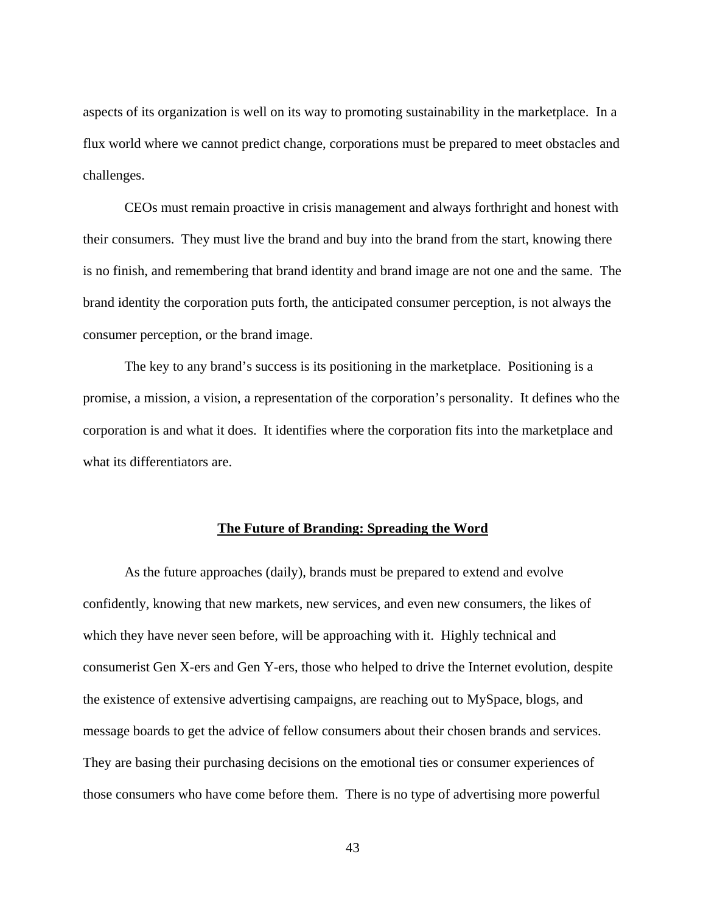aspects of its organization is well on its way to promoting sustainability in the marketplace. In a flux world where we cannot predict change, corporations must be prepared to meet obstacles and challenges.

CEOs must remain proactive in crisis management and always forthright and honest with their consumers. They must live the brand and buy into the brand from the start, knowing there is no finish, and remembering that brand identity and brand image are not one and the same. The brand identity the corporation puts forth, the anticipated consumer perception, is not always the consumer perception, or the brand image.

The key to any brand's success is its positioning in the marketplace. Positioning is a promise, a mission, a vision, a representation of the corporation's personality. It defines who the corporation is and what it does. It identifies where the corporation fits into the marketplace and what its differentiators are.

#### <span id="page-51-0"></span>**The Future of Branding: Spreading the Word**

As the future approaches (daily), brands must be prepared to extend and evolve confidently, knowing that new markets, new services, and even new consumers, the likes of which they have never seen before, will be approaching with it. Highly technical and consumerist Gen X-ers and Gen Y-ers, those who helped to drive the Internet evolution, despite the existence of extensive advertising campaigns, are reaching out to MySpace, blogs, and message boards to get the advice of fellow consumers about their chosen brands and services. They are basing their purchasing decisions on the emotional ties or consumer experiences of those consumers who have come before them. There is no type of advertising more powerful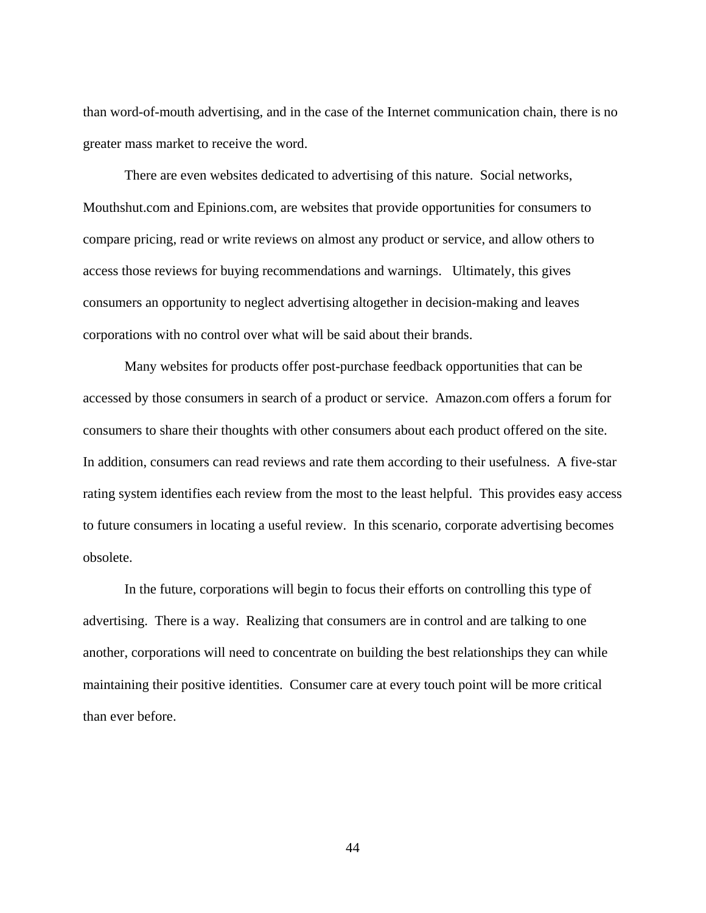than word-of-mouth advertising, and in the case of the Internet communication chain, there is no greater mass market to receive the word.

There are even websites dedicated to advertising of this nature. Social networks, Mouthshut.com and Epinions.com, are websites that provide opportunities for consumers to compare pricing, read or write reviews on almost any product or service, and allow others to access those reviews for buying recommendations and warnings. Ultimately, this gives consumers an opportunity to neglect advertising altogether in decision-making and leaves corporations with no control over what will be said about their brands.

Many websites for products offer post-purchase feedback opportunities that can be accessed by those consumers in search of a product or service. Amazon.com offers a forum for consumers to share their thoughts with other consumers about each product offered on the site. In addition, consumers can read reviews and rate them according to their usefulness. A five-star rating system identifies each review from the most to the least helpful. This provides easy access to future consumers in locating a useful review. In this scenario, corporate advertising becomes obsolete.

In the future, corporations will begin to focus their efforts on controlling this type of advertising. There is a way. Realizing that consumers are in control and are talking to one another, corporations will need to concentrate on building the best relationships they can while maintaining their positive identities. Consumer care at every touch point will be more critical than ever before.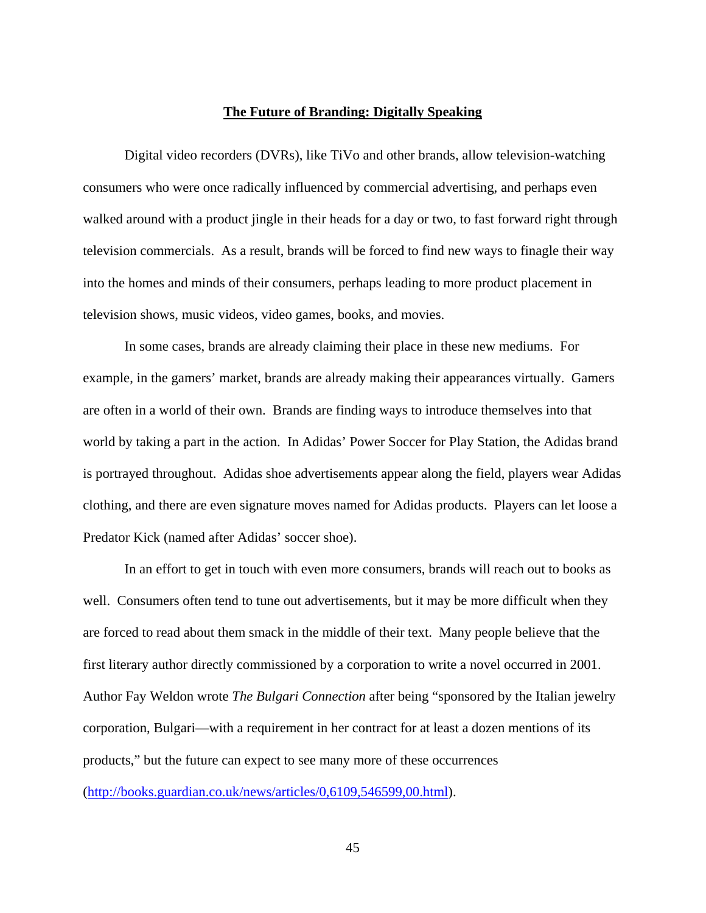#### <span id="page-53-0"></span>**The Future of Branding: Digitally Speaking**

Digital video recorders (DVRs), like TiVo and other brands, allow television-watching consumers who were once radically influenced by commercial advertising, and perhaps even walked around with a product jingle in their heads for a day or two, to fast forward right through television commercials. As a result, brands will be forced to find new ways to finagle their way into the homes and minds of their consumers, perhaps leading to more product placement in television shows, music videos, video games, books, and movies.

In some cases, brands are already claiming their place in these new mediums. For example, in the gamers' market, brands are already making their appearances virtually. Gamers are often in a world of their own. Brands are finding ways to introduce themselves into that world by taking a part in the action. In Adidas' Power Soccer for Play Station, the Adidas brand is portrayed throughout. Adidas shoe advertisements appear along the field, players wear Adidas clothing, and there are even signature moves named for Adidas products. Players can let loose a Predator Kick (named after Adidas' soccer shoe).

In an effort to get in touch with even more consumers, brands will reach out to books as well. Consumers often tend to tune out advertisements, but it may be more difficult when they are forced to read about them smack in the middle of their text. Many people believe that the first literary author directly commissioned by a corporation to write a novel occurred in 2001. Author Fay Weldon wrote *The Bulgari Connection* after being "sponsored by the Italian jewelry corporation, Bulgari—with a requirement in her contract for at least a dozen mentions of its products," but the future can expect to see many more of these occurrences ([http://books.guardian.co.uk/news/articles/0,6109,546599,00.html\)](http://books.guardian.co.uk/news/articles/0,6109,546599,00.html).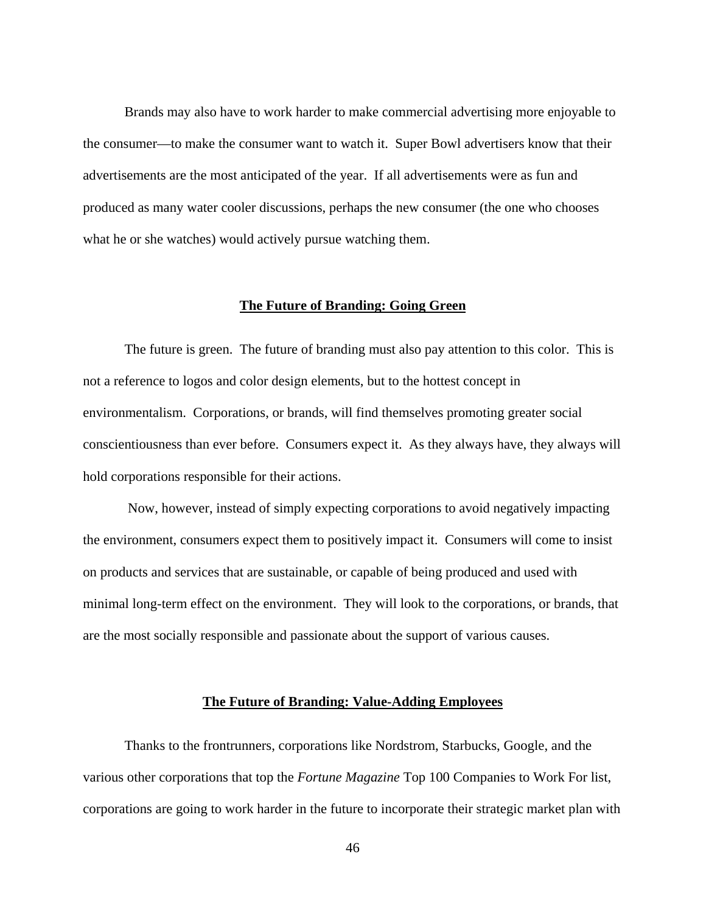Brands may also have to work harder to make commercial advertising more enjoyable to the consumer—to make the consumer want to watch it. Super Bowl advertisers know that their advertisements are the most anticipated of the year. If all advertisements were as fun and produced as many water cooler discussions, perhaps the new consumer (the one who chooses what he or she watches) would actively pursue watching them.

#### <span id="page-54-0"></span>**The Future of Branding: Going Green**

The future is green. The future of branding must also pay attention to this color. This is not a reference to logos and color design elements, but to the hottest concept in environmentalism. Corporations, or brands, will find themselves promoting greater social conscientiousness than ever before. Consumers expect it. As they always have, they always will hold corporations responsible for their actions.

 Now, however, instead of simply expecting corporations to avoid negatively impacting the environment, consumers expect them to positively impact it. Consumers will come to insist on products and services that are sustainable, or capable of being produced and used with minimal long-term effect on the environment. They will look to the corporations, or brands, that are the most socially responsible and passionate about the support of various causes.

#### <span id="page-54-1"></span>**The Future of Branding: Value-Adding Employees**

Thanks to the frontrunners, corporations like Nordstrom, Starbucks, Google, and the various other corporations that top the *Fortune Magazine* Top 100 Companies to Work For list, corporations are going to work harder in the future to incorporate their strategic market plan with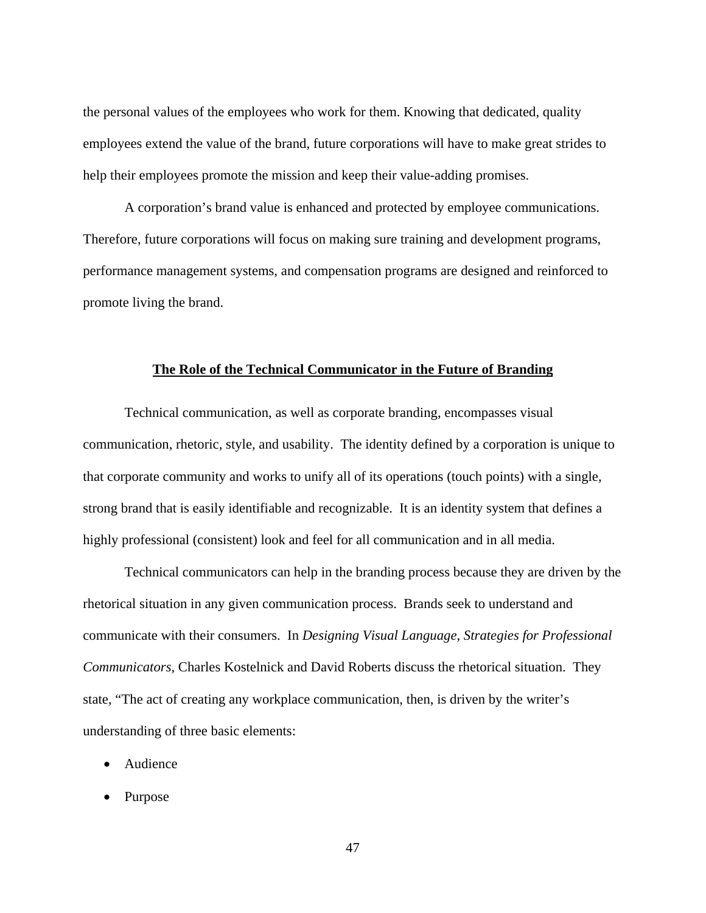the personal values of the employees who work for them. Knowing that dedicated, quality employees extend the value of the brand, future corporations will have to make great strides to help their employees promote the mission and keep their value-adding promises.

A corporation's brand value is enhanced and protected by employee communications. Therefore, future corporations will focus on making sure training and development programs, performance management systems, and compensation programs are designed and reinforced to promote living the brand.

#### <span id="page-55-0"></span>**The Role of the Technical Communicator in the Future of Branding**

Technical communication, as well as corporate branding, encompasses visual communication, rhetoric, style, and usability. The identity defined by a corporation is unique to that corporate community and works to unify all of its operations (touch points) with a single, strong brand that is easily identifiable and recognizable. It is an identity system that defines a highly professional (consistent) look and feel for all communication and in all media.

Technical communicators can help in the branding process because they are driven by the rhetorical situation in any given communication process. Brands seek to understand and communicate with their consumers. In *Designing Visual Language, Strategies for Professional Communicators*, Charles Kostelnick and David Roberts discuss the rhetorical situation. They state, "The act of creating any workplace communication, then, is driven by the writer's understanding of three basic elements:

- Audience
- Purpose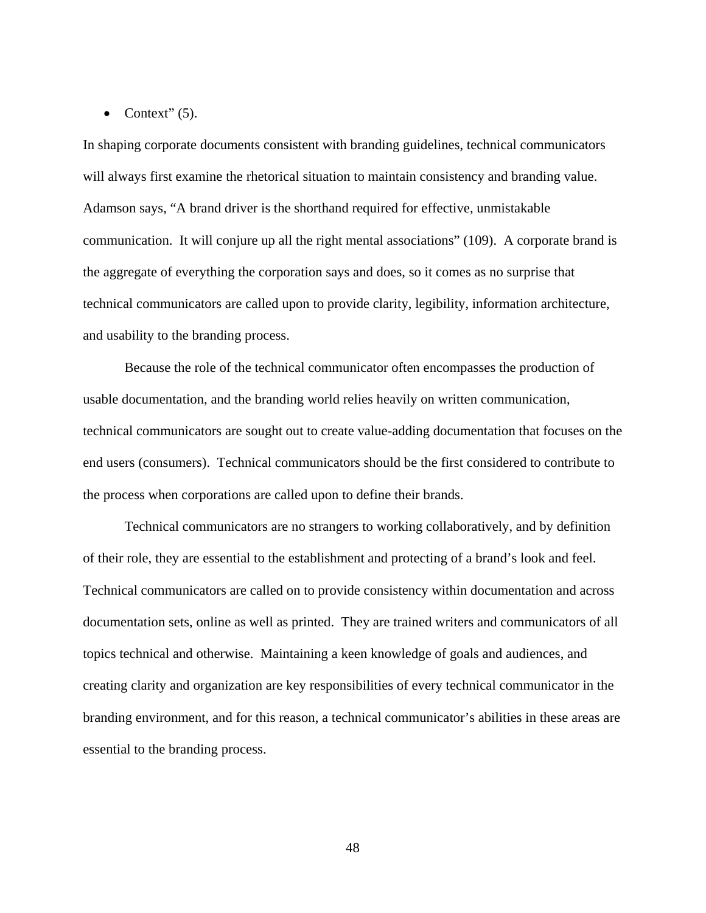#### • Context"  $(5)$ .

In shaping corporate documents consistent with branding guidelines, technical communicators will always first examine the rhetorical situation to maintain consistency and branding value. Adamson says, "A brand driver is the shorthand required for effective, unmistakable communication. It will conjure up all the right mental associations" (109). A corporate brand is the aggregate of everything the corporation says and does, so it comes as no surprise that technical communicators are called upon to provide clarity, legibility, information architecture, and usability to the branding process.

Because the role of the technical communicator often encompasses the production of usable documentation, and the branding world relies heavily on written communication, technical communicators are sought out to create value-adding documentation that focuses on the end users (consumers). Technical communicators should be the first considered to contribute to the process when corporations are called upon to define their brands.

Technical communicators are no strangers to working collaboratively, and by definition of their role, they are essential to the establishment and protecting of a brand's look and feel. Technical communicators are called on to provide consistency within documentation and across documentation sets, online as well as printed. They are trained writers and communicators of all topics technical and otherwise. Maintaining a keen knowledge of goals and audiences, and creating clarity and organization are key responsibilities of every technical communicator in the branding environment, and for this reason, a technical communicator's abilities in these areas are essential to the branding process.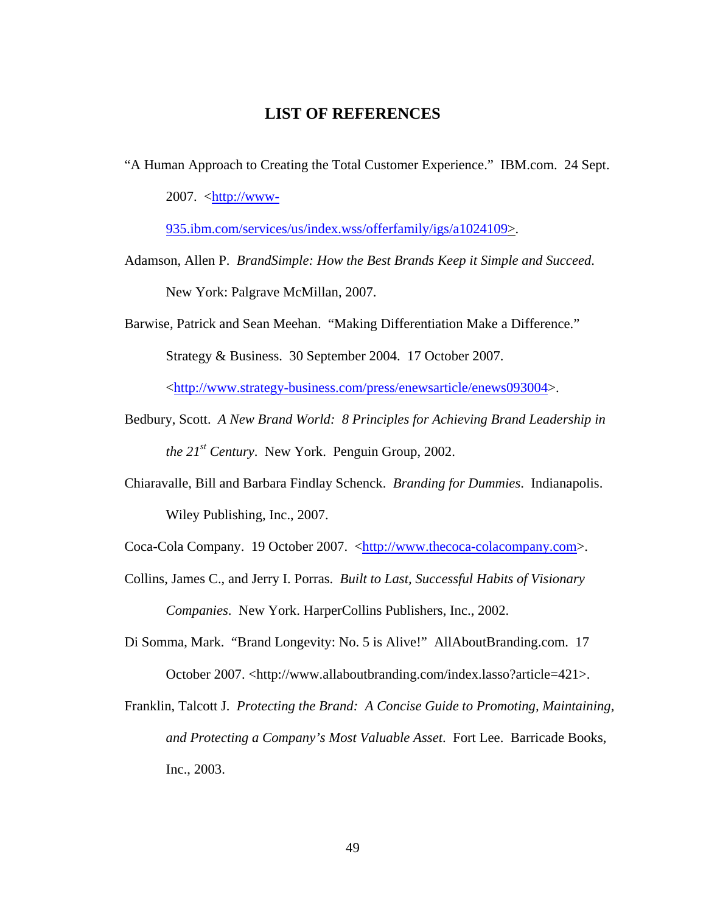# <span id="page-57-0"></span>**LIST OF REFERENCES**

"A Human Approach to Creating the Total Customer Experience." IBM.com. 24 Sept. 2007.  $\langle \frac{\text{http://www-}}{\text{http://www-}} \rangle$ 

[935.ibm.com/services/us/index.wss/offerfamily/igs/a1024109>](http://www-935.ibm.com/services/us/index.wss/offerfamily/igs/a1024109).

- Adamson, Allen P. *BrandSimple: How the Best Brands Keep it Simple and Succeed*. New York: Palgrave McMillan, 2007.
- Barwise, Patrick and Sean Meehan. "Making Differentiation Make a Difference." Strategy & Business. 30 September 2004. 17 October 2007.

<[http://www.strategy-business.com/press/enewsarticle/enews093004>](http://www.strategy-business.com/press/enewsarticle/enews093004).

- Bedbury, Scott. *A New Brand World: 8 Principles for Achieving Brand Leadership in the 21st Century*. New York. Penguin Group, 2002.
- Chiaravalle, Bill and Barbara Findlay Schenck. *Branding for Dummies*. Indianapolis. Wiley Publishing, Inc., 2007.

Coca-Cola Company. 19 October 2007. [<http://www.thecoca-colacompany.com>](http://www.thecoca-colacompany.com/).

- Collins, James C., and Jerry I. Porras. *Built to Last, Successful Habits of Visionary Companies*. New York. HarperCollins Publishers, Inc., 2002.
- Di Somma, Mark. "Brand Longevity: No. 5 is Alive!" AllAboutBranding.com. 17 October 2007. <[http://www.allaboutbranding.com/index.lasso?article=421>](http://www.allaboutbranding.com/index.lasso?article=421).
- Franklin, Talcott J. *Protecting the Brand: A Concise Guide to Promoting, Maintaining, and Protecting a Company's Most Valuable Asset*. Fort Lee. Barricade Books, Inc., 2003.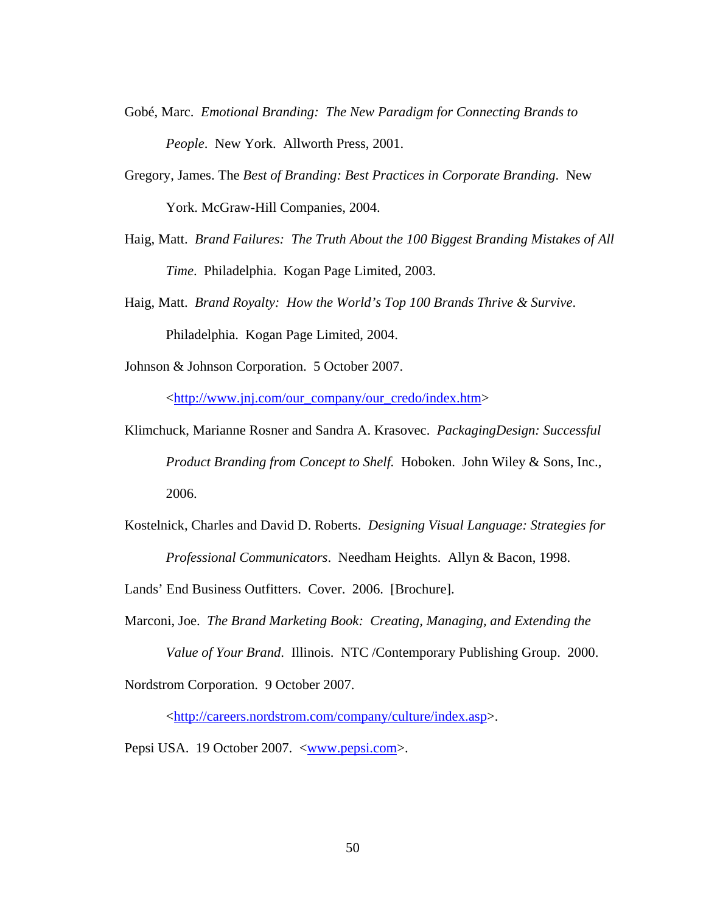- Gobé, Marc. *Emotional Branding: The New Paradigm for Connecting Brands to People*. New York. Allworth Press, 2001.
- Gregory, James. The *Best of Branding: Best Practices in Corporate Branding*. New York. McGraw-Hill Companies, 2004.
- Haig, Matt. *Brand Failures: The Truth About the 100 Biggest Branding Mistakes of All Time*. Philadelphia. Kogan Page Limited, 2003.
- Haig, Matt. *Brand Royalty: How the World's Top 100 Brands Thrive & Survive*. Philadelphia. Kogan Page Limited, 2004.
- Johnson & Johnson Corporation. 5 October 2007.

<http://www.jnj.com/our\_company/our\_credo/index.htm>

- Klimchuck, Marianne Rosner and Sandra A. Krasovec. *PackagingDesign: Successful Product Branding from Concept to Shelf.* Hoboken. John Wiley & Sons, Inc., 2006.
- Kostelnick, Charles and David D. Roberts. *Designing Visual Language: Strategies for Professional Communicators*. Needham Heights. Allyn & Bacon, 1998.

Lands' End Business Outfitters. Cover. 2006. [Brochure].

Marconi, Joe. *The Brand Marketing Book: Creating, Managing, and Extending the Value of Your Brand*. Illinois. NTC /Contemporary Publishing Group. 2000.

Nordstrom Corporation. 9 October 2007.

<http://careers.nordstrom.com/company/culture/index.asp>.

Pepsi USA. 19 October 2007. [<www.pepsi.com>](http://www.pepsi.com/).